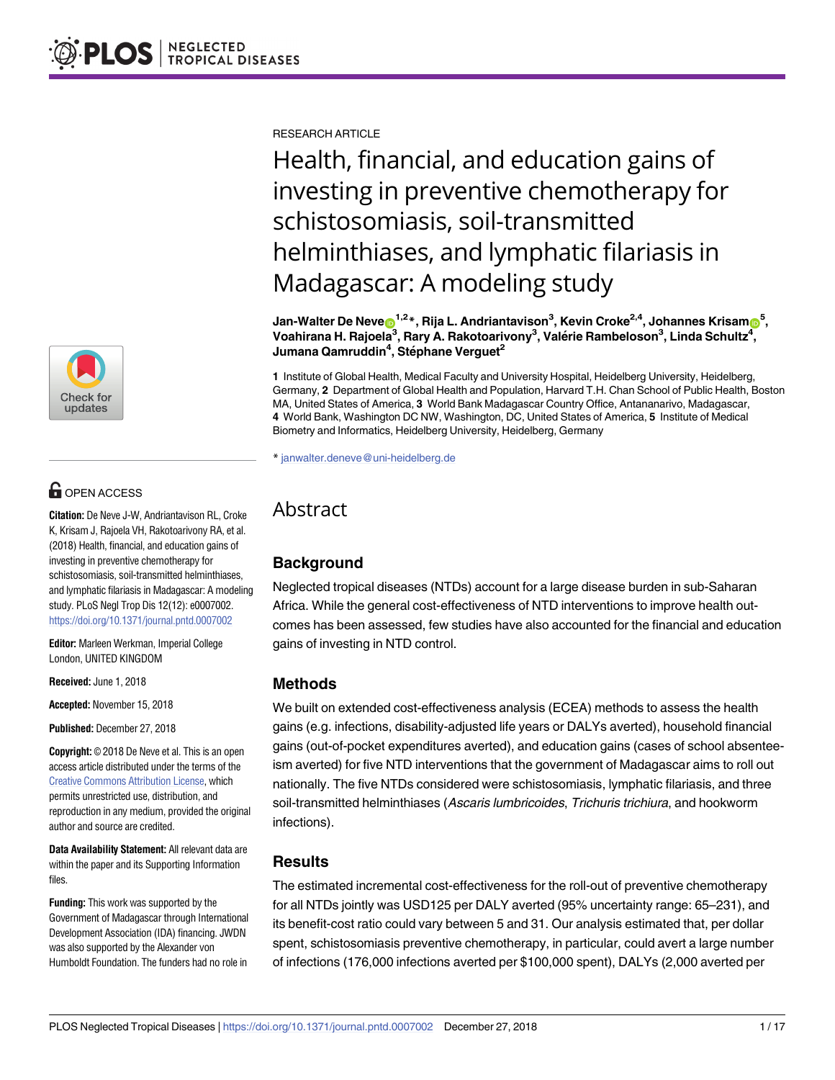

# **G** OPEN ACCESS

**Citation:** De Neve J-W, Andriantavison RL, Croke K, Krisam J, Rajoela VH, Rakotoarivony RA, et al. (2018) Health, financial, and education gains of investing in preventive chemotherapy for schistosomiasis, soil-transmitted helminthiases, and lymphatic filariasis in Madagascar: A modeling study. PLoS Negl Trop Dis 12(12): e0007002. <https://doi.org/10.1371/journal.pntd.0007002>

**Editor:** Marleen Werkman, Imperial College London, UNITED KINGDOM

**Received:** June 1, 2018

**Accepted:** November 15, 2018

**Published:** December 27, 2018

**Copyright:** © 2018 De Neve et al. This is an open access article distributed under the terms of the Creative Commons [Attribution](http://creativecommons.org/licenses/by/4.0/) License, which permits unrestricted use, distribution, and reproduction in any medium, provided the original author and source are credited.

**Data Availability Statement:** All relevant data are within the paper and its Supporting Information files.

**Funding:** This work was supported by the Government of Madagascar through International Development Association (IDA) financing. JWDN was also supported by the Alexander von Humboldt Foundation. The funders had no role in

RESEARCH ARTICLE

Health, financial, and education gains of investing in preventive chemotherapy for schistosomiasis, soil-transmitted helminthiases, and lymphatic filariasis in Madagascar: A modeling study

 $\delta$  Jan-Walter De Neve $\delta^{1,2}$ \*, Rija L. Andriantavison $^3$ , Kevin Croke $^{2,4}$ , Johannes Krisam $\delta^{5,1}$ **Voahirana H. Rajoela3 , Rary A. Rakotoarivony3 , Vale´rie Rambeloson3 , Linda Schultz4 , Jumana Qamruddin4 , Ste´phane Verguet2**

**1** Institute of Global Health, Medical Faculty and University Hospital, Heidelberg University, Heidelberg, Germany, **2** Department of Global Health and Population, Harvard T.H. Chan School of Public Health, Boston MA, United States of America, **3** World Bank Madagascar Country Office, Antananarivo, Madagascar, **4** World Bank, Washington DC NW, Washington, DC, United States of America, **5** Institute of Medical Biometry and Informatics, Heidelberg University, Heidelberg, Germany

\* janwalter.deneve@uni-heidelberg.de

## Abstract

## **Background**

Neglected tropical diseases (NTDs) account for a large disease burden in sub-Saharan Africa. While the general cost-effectiveness of NTD interventions to improve health outcomes has been assessed, few studies have also accounted for the financial and education gains of investing in NTD control.

#### **Methods**

We built on extended cost-effectiveness analysis (ECEA) methods to assess the health gains (e.g. infections, disability-adjusted life years or DALYs averted), household financial gains (out-of-pocket expenditures averted), and education gains (cases of school absenteeism averted) for five NTD interventions that the government of Madagascar aims to roll out nationally. The five NTDs considered were schistosomiasis, lymphatic filariasis, and three soil-transmitted helminthiases (Ascaris lumbricoides, Trichuris trichiura, and hookworm infections).

## **Results**

The estimated incremental cost-effectiveness for the roll-out of preventive chemotherapy for all NTDs jointly was USD125 per DALY averted (95% uncertainty range: 65–231), and its benefit-cost ratio could vary between 5 and 31. Our analysis estimated that, per dollar spent, schistosomiasis preventive chemotherapy, in particular, could avert a large number of infections (176,000 infections averted per \$100,000 spent), DALYs (2,000 averted per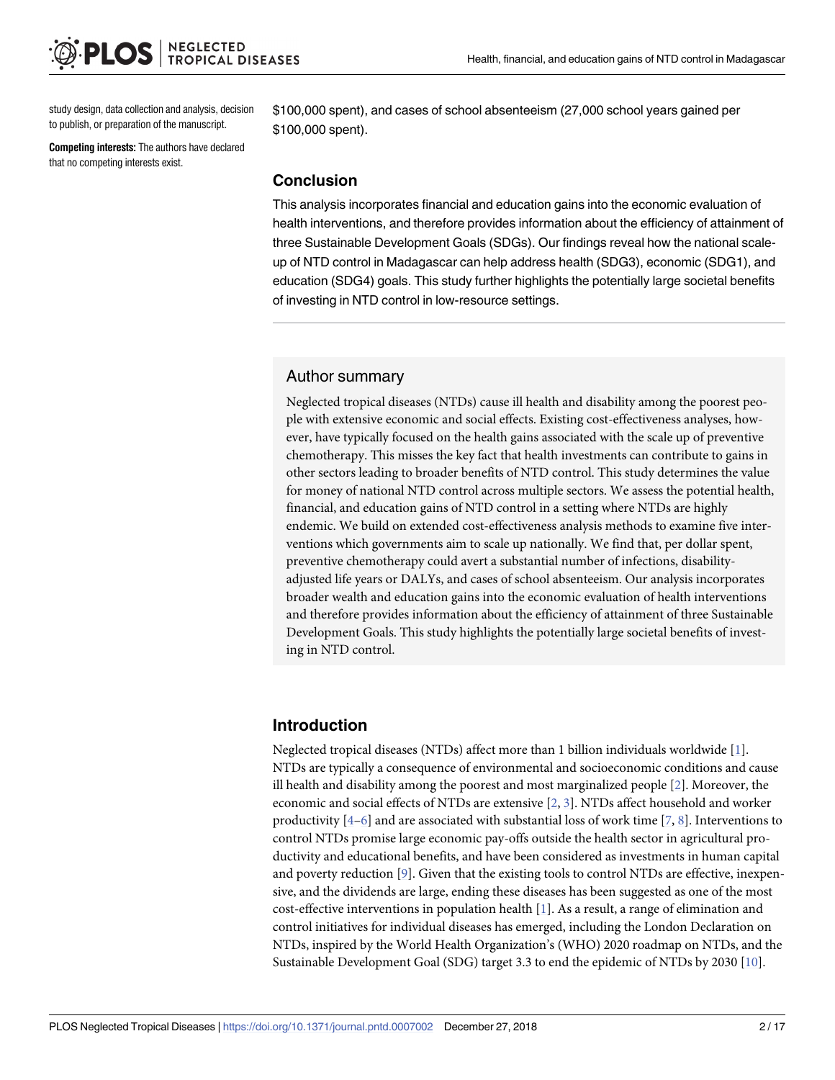<span id="page-1-0"></span>study design, data collection and analysis, decision to publish, or preparation of the manuscript.

**Competing interests:** The authors have declared that no competing interests exist.

\$100,000 spent), and cases of school absenteeism (27,000 school years gained per \$100,000 spent).

#### **Conclusion**

This analysis incorporates financial and education gains into the economic evaluation of health interventions, and therefore provides information about the efficiency of attainment of three Sustainable Development Goals (SDGs). Our findings reveal how the national scaleup of NTD control in Madagascar can help address health (SDG3), economic (SDG1), and education (SDG4) goals. This study further highlights the potentially large societal benefits of investing in NTD control in low-resource settings.

#### Author summary

Neglected tropical diseases (NTDs) cause ill health and disability among the poorest people with extensive economic and social effects. Existing cost-effectiveness analyses, however, have typically focused on the health gains associated with the scale up of preventive chemotherapy. This misses the key fact that health investments can contribute to gains in other sectors leading to broader benefits of NTD control. This study determines the value for money of national NTD control across multiple sectors. We assess the potential health, financial, and education gains of NTD control in a setting where NTDs are highly endemic. We build on extended cost-effectiveness analysis methods to examine five interventions which governments aim to scale up nationally. We find that, per dollar spent, preventive chemotherapy could avert a substantial number of infections, disabilityadjusted life years or DALYs, and cases of school absenteeism. Our analysis incorporates broader wealth and education gains into the economic evaluation of health interventions and therefore provides information about the efficiency of attainment of three Sustainable Development Goals. This study highlights the potentially large societal benefits of investing in NTD control.

## **Introduction**

Neglected tropical diseases (NTDs) affect more than 1 billion individuals worldwide [[1\]](#page-13-0). NTDs are typically a consequence of environmental and socioeconomic conditions and cause ill health and disability among the poorest and most marginalized people [[2\]](#page-13-0). Moreover, the economic and social effects of NTDs are extensive [\[2,](#page-13-0) [3](#page-13-0)]. NTDs affect household and worker productivity  $[4-6]$  $[4-6]$  $[4-6]$  $[4-6]$  $[4-6]$  and are associated with substantial loss of work time  $[7, 8]$  $[7, 8]$  $[7, 8]$  $[7, 8]$ . Interventions to control NTDs promise large economic pay-offs outside the health sector in agricultural productivity and educational benefits, and have been considered as investments in human capital and poverty reduction [\[9](#page-13-0)]. Given that the existing tools to control NTDs are effective, inexpensive, and the dividends are large, ending these diseases has been suggested as one of the most cost-effective interventions in population health [\[1](#page-13-0)]. As a result, a range of elimination and control initiatives for individual diseases has emerged, including the London Declaration on NTDs, inspired by the World Health Organization's (WHO) 2020 roadmap on NTDs, and the Sustainable Development Goal (SDG) target 3.3 to end the epidemic of NTDs by 2030 [\[10\]](#page-13-0).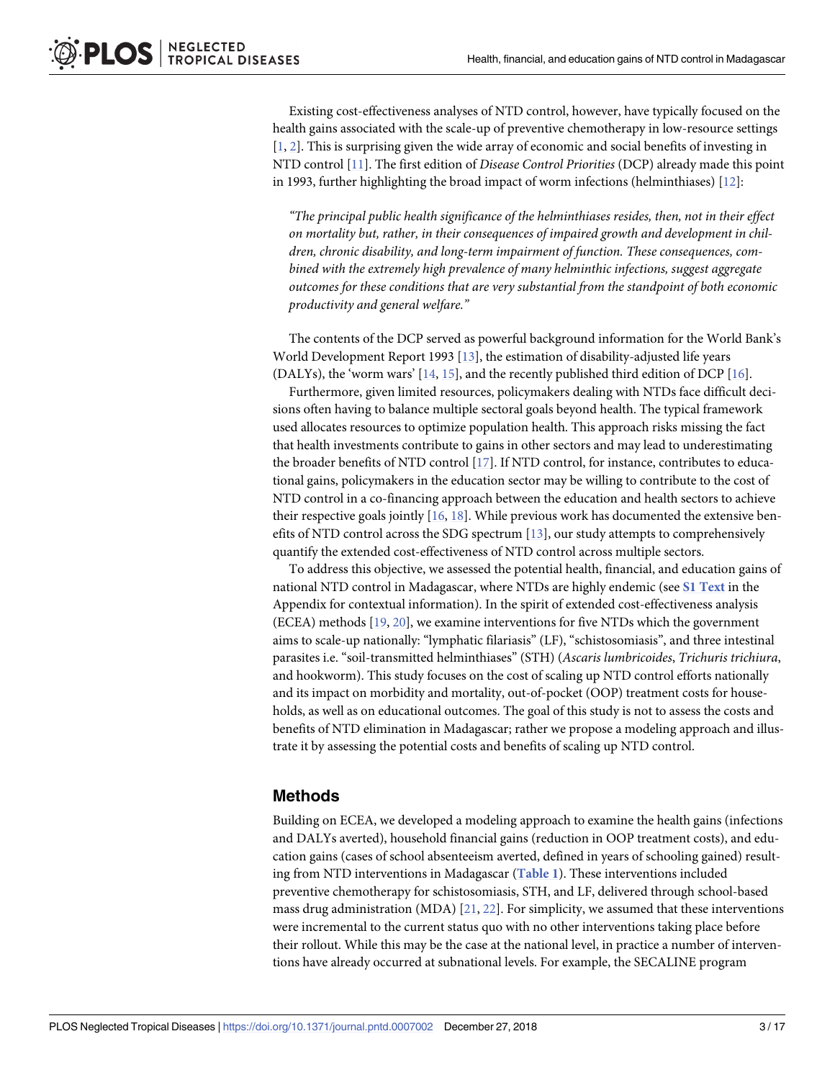<span id="page-2-0"></span>Existing cost-effectiveness analyses of NTD control, however, have typically focused on the health gains associated with the scale-up of preventive chemotherapy in low-resource settings [\[1](#page-13-0), [2](#page-13-0)]. This is surprising given the wide array of economic and social benefits of investing in NTD control [[11](#page-13-0)]. The first edition of *Disease Control Priorities* (DCP) already made this point in 1993, further highlighting the broad impact of worm infections (helminthiases) [\[12\]](#page-13-0):

*"The principal public health significance of the helminthiases resides, then, not in their effect on mortality but, rather, in their consequences of impaired growth and development in children, chronic disability, and long-term impairment of function. These consequences, combined with the extremely high prevalence of many helminthic infections, suggest aggregate outcomes for these conditions that are very substantial from the standpoint of both economic productivity and general welfare."*

The contents of the DCP served as powerful background information for the World Bank's World Development Report 1993 [[13](#page-13-0)], the estimation of disability-adjusted life years (DALYs), the 'worm wars' [\[14,](#page-13-0) [15](#page-13-0)], and the recently published third edition of DCP [[16](#page-13-0)].

Furthermore, given limited resources, policymakers dealing with NTDs face difficult decisions often having to balance multiple sectoral goals beyond health. The typical framework used allocates resources to optimize population health. This approach risks missing the fact that health investments contribute to gains in other sectors and may lead to underestimating the broader benefits of NTD control [[17\]](#page-13-0). If NTD control, for instance, contributes to educational gains, policymakers in the education sector may be willing to contribute to the cost of NTD control in a co-financing approach between the education and health sectors to achieve their respective goals jointly [[16](#page-13-0), [18](#page-13-0)]. While previous work has documented the extensive benefits of NTD control across the SDG spectrum [[13](#page-13-0)], our study attempts to comprehensively quantify the extended cost-effectiveness of NTD control across multiple sectors.

To address this objective, we assessed the potential health, financial, and education gains of national NTD control in Madagascar, where NTDs are highly endemic (see **S1 [Text](#page-11-0)** in the Appendix for contextual information). In the spirit of extended cost-effectiveness analysis (ECEA) methods [\[19,](#page-13-0) [20\]](#page-13-0), we examine interventions for five NTDs which the government aims to scale-up nationally: "lymphatic filariasis" (LF), "schistosomiasis", and three intestinal parasites i.e. "soil-transmitted helminthiases" (STH) (*Ascaris lumbricoides*, *Trichuris trichiura*, and hookworm). This study focuses on the cost of scaling up NTD control efforts nationally and its impact on morbidity and mortality, out-of-pocket (OOP) treatment costs for households, as well as on educational outcomes. The goal of this study is not to assess the costs and benefits of NTD elimination in Madagascar; rather we propose a modeling approach and illustrate it by assessing the potential costs and benefits of scaling up NTD control.

#### **Methods**

Building on ECEA, we developed a modeling approach to examine the health gains (infections and DALYs averted), household financial gains (reduction in OOP treatment costs), and education gains (cases of school absenteeism averted, defined in years of schooling gained) resulting from NTD interventions in Madagascar (**[Table](#page-3-0) 1**). These interventions included preventive chemotherapy for schistosomiasis, STH, and LF, delivered through school-based mass drug administration (MDA) [\[21,](#page-14-0) [22\]](#page-14-0). For simplicity, we assumed that these interventions were incremental to the current status quo with no other interventions taking place before their rollout. While this may be the case at the national level, in practice a number of interventions have already occurred at subnational levels. For example, the SECALINE program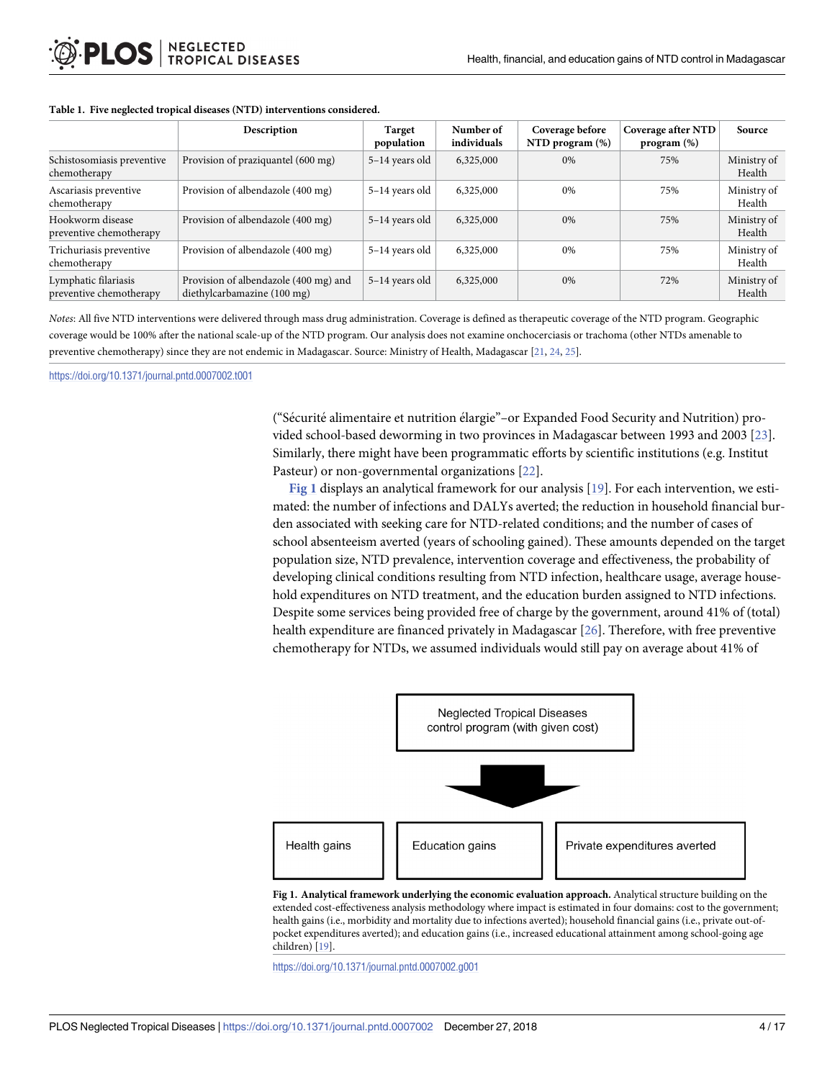|                                                 | Description                                                          | Target<br>population | Number of<br>individuals | Coverage before<br>NTD program (%) | Coverage after NTD<br>program (%) | Source                |
|-------------------------------------------------|----------------------------------------------------------------------|----------------------|--------------------------|------------------------------------|-----------------------------------|-----------------------|
| Schistosomiasis preventive<br>chemotherapy      | Provision of praziquantel (600 mg)                                   | 5-14 years old       | 6,325,000                | 0%                                 | 75%                               | Ministry of<br>Health |
| Ascariasis preventive<br>chemotherapy           | Provision of albendazole (400 mg)                                    | 5-14 years old       | 6,325,000                | 0%                                 | 75%                               | Ministry of<br>Health |
| Hookworm disease<br>preventive chemotherapy     | Provision of albendazole (400 mg)                                    | 5-14 years old       | 6,325,000                | 0%                                 | 75%                               | Ministry of<br>Health |
| Trichuriasis preventive<br>chemotherapy         | Provision of albendazole (400 mg)                                    | 5-14 years old       | 6,325,000                | 0%                                 | 75%                               | Ministry of<br>Health |
| Lymphatic filariasis<br>preventive chemotherapy | Provision of albendazole (400 mg) and<br>diethylcarbamazine (100 mg) | 5–14 years old       | 6,325,000                | 0%                                 | 72%                               | Ministry of<br>Health |

#### <span id="page-3-0"></span>**[Table](#page-2-0) 1. Five neglected tropical diseases (NTD) interventions considered.**

*Notes*: All five NTD interventions were delivered through mass drug administration. Coverage is defined as therapeutic coverage of the NTD program. Geographic coverage would be 100% after the national scale-up of the NTD program. Our analysis does not examine onchocerciasis or trachoma (other NTDs amenable to preventive chemotherapy) since they are not endemic in Madagascar. Source: Ministry of Health, Madagascar [[21,](#page-14-0) [24,](#page-14-0) [25](#page-14-0)].

<https://doi.org/10.1371/journal.pntd.0007002.t001>

("Sécurité alimentaire et nutrition élargie"–or Expanded Food Security and Nutrition) provided school-based deworming in two provinces in Madagascar between 1993 and 2003 [[23](#page-14-0)]. Similarly, there might have been programmatic efforts by scientific institutions (e.g. Institut Pasteur) or non-governmental organizations [\[22\]](#page-14-0).

**Fig 1** displays an analytical framework for our analysis [[19](#page-13-0)]. For each intervention, we estimated: the number of infections and DALYs averted; the reduction in household financial burden associated with seeking care for NTD-related conditions; and the number of cases of school absenteeism averted (years of schooling gained). These amounts depended on the target population size, NTD prevalence, intervention coverage and effectiveness, the probability of developing clinical conditions resulting from NTD infection, healthcare usage, average household expenditures on NTD treatment, and the education burden assigned to NTD infections. Despite some services being provided free of charge by the government, around 41% of (total) health expenditure are financed privately in Madagascar [[26](#page-14-0)]. Therefore, with free preventive chemotherapy for NTDs, we assumed individuals would still pay on average about 41% of



**Fig 1. Analytical framework underlying the economic evaluation approach.** Analytical structure building on the extended cost-effectiveness analysis methodology where impact is estimated in four domains: cost to the government; health gains (i.e., morbidity and mortality due to infections averted); household financial gains (i.e., private out-ofpocket expenditures averted); and education gains (i.e., increased educational attainment among school-going age children) [[19](#page-13-0)].

<https://doi.org/10.1371/journal.pntd.0007002.g001>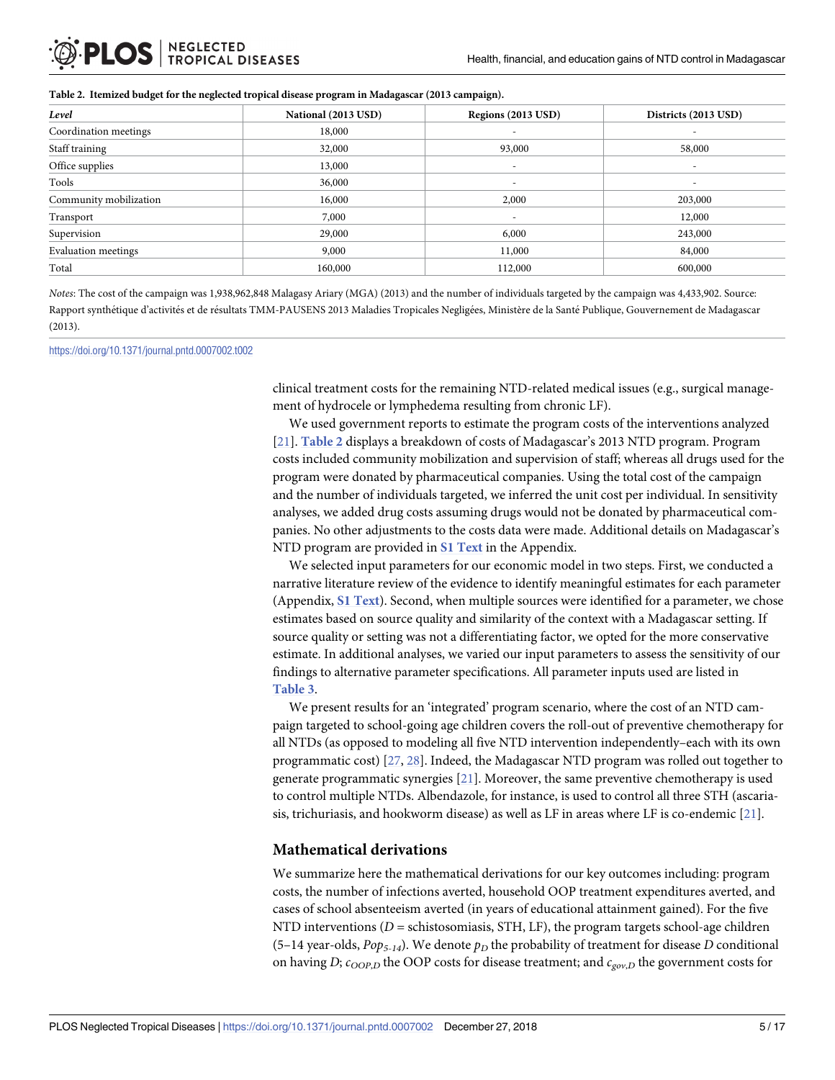<span id="page-4-0"></span>

| Level                      | National (2013 USD) | Regions (2013 USD)       | Districts (2013 USD)     |
|----------------------------|---------------------|--------------------------|--------------------------|
| Coordination meetings      | 18,000              | $\overline{\phantom{a}}$ | $\overline{\phantom{a}}$ |
| Staff training             | 32,000              | 93,000                   | 58,000                   |
| Office supplies            | 13,000              | $\overline{\phantom{a}}$ | $\overline{\phantom{0}}$ |
| Tools                      | 36,000              | $\overline{\phantom{a}}$ | $\overline{\phantom{a}}$ |
| Community mobilization     | 16,000              | 2,000                    | 203,000                  |
| Transport                  | 7,000               | $\overline{\phantom{a}}$ | 12,000                   |
| Supervision                | 29,000              | 6,000                    | 243,000                  |
| <b>Evaluation meetings</b> | 9,000               | 11,000                   | 84,000                   |
| Total                      | 160,000             | 112,000                  | 600,000                  |

*Notes*: The cost of the campaign was 1,938,962,848 Malagasy Ariary (MGA) (2013) and the number of individuals targeted by the campaign was 4,433,902. Source: Rapport synthétique d'activités et de résultats TMM-PAUSENS 2013 Maladies Tropicales Negligées, Ministère de la Santé Publique, Gouvernement de Madagascar (2013).

<https://doi.org/10.1371/journal.pntd.0007002.t002>

clinical treatment costs for the remaining NTD-related medical issues (e.g., surgical management of hydrocele or lymphedema resulting from chronic LF).

We used government reports to estimate the program costs of the interventions analyzed [\[21\]](#page-14-0). **Table 2** displays a breakdown of costs of Madagascar's 2013 NTD program. Program costs included community mobilization and supervision of staff; whereas all drugs used for the program were donated by pharmaceutical companies. Using the total cost of the campaign and the number of individuals targeted, we inferred the unit cost per individual. In sensitivity analyses, we added drug costs assuming drugs would not be donated by pharmaceutical companies. No other adjustments to the costs data were made. Additional details on Madagascar's NTD program are provided in **S1 [Text](#page-11-0)** in the Appendix.

We selected input parameters for our economic model in two steps. First, we conducted a narrative literature review of the evidence to identify meaningful estimates for each parameter (Appendix, **S1 [Text](#page-11-0)**). Second, when multiple sources were identified for a parameter, we chose estimates based on source quality and similarity of the context with a Madagascar setting. If source quality or setting was not a differentiating factor, we opted for the more conservative estimate. In additional analyses, we varied our input parameters to assess the sensitivity of our findings to alternative parameter specifications. All parameter inputs used are listed in **[Table](#page-5-0) 3**.

We present results for an 'integrated' program scenario, where the cost of an NTD campaign targeted to school-going age children covers the roll-out of preventive chemotherapy for all NTDs (as opposed to modeling all five NTD intervention independently–each with its own programmatic cost) [\[27,](#page-14-0) [28\]](#page-14-0). Indeed, the Madagascar NTD program was rolled out together to generate programmatic synergies [[21](#page-14-0)]. Moreover, the same preventive chemotherapy is used to control multiple NTDs. Albendazole, for instance, is used to control all three STH (ascariasis, trichuriasis, and hookworm disease) as well as LF in areas where LF is co-endemic [[21](#page-14-0)].

#### **Mathematical derivations**

We summarize here the mathematical derivations for our key outcomes including: program costs, the number of infections averted, household OOP treatment expenditures averted, and cases of school absenteeism averted (in years of educational attainment gained). For the five NTD interventions  $(D =$  schistosomiasis, STH, LF), the program targets school-age children (5–14 year-olds,  $Pop_{5-14}$ ). We denote  $p_D$  the probability of treatment for disease *D* conditional on having *D*;  $c_{OOP,D}$  the OOP costs for disease treatment; and  $c_{gov,D}$  the government costs for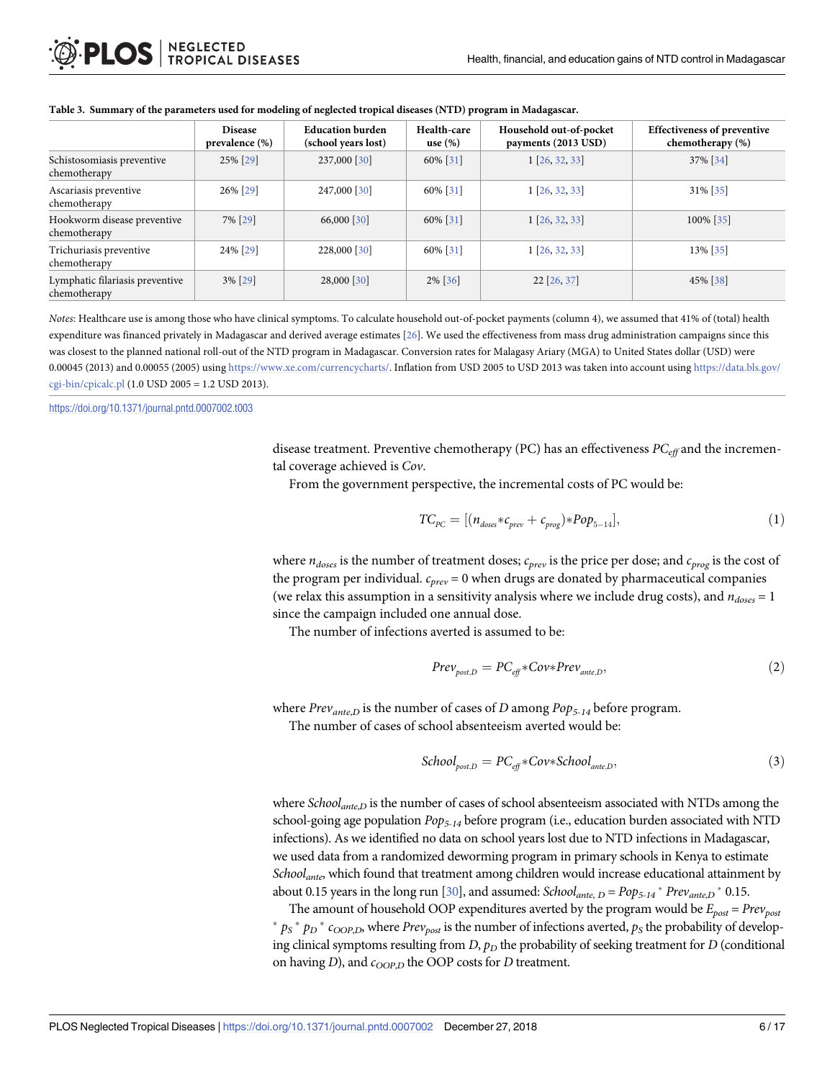|                                                 | <b>Disease</b><br>prevalence (%) | <b>Education burden</b><br>(school years lost) | Health-care<br>use $(\%)$ | Household out-of-pocket<br>payments (2013 USD) | <b>Effectiveness of preventive</b><br>chemotherapy (%) |
|-------------------------------------------------|----------------------------------|------------------------------------------------|---------------------------|------------------------------------------------|--------------------------------------------------------|
| Schistosomiasis preventive<br>chemotherapy      | 25% [29]                         | 237,000 [30]                                   | 60% [31]                  | $1$ [26, 32, 33]                               | 37% [34]                                               |
| Ascariasis preventive<br>chemotherapy           | 26% [29]                         | 247,000 [30]                                   | 60% [31]                  | $1$ [26, 32, 33]                               | 31% [35]                                               |
| Hookworm disease preventive<br>chemotherapy     | 7% [29]                          | 66,000 [30]                                    | 60% [31]                  | $1$ [26, 32, 33]                               | 100% [35]                                              |
| Trichuriasis preventive<br>chemotherapy         | 24% [29]                         | 228,000 [30]                                   | 60% [31]                  | $1$ [26, 32, 33]                               | 13% [35]                                               |
| Lymphatic filariasis preventive<br>chemotherapy | 3% [29]                          | 28,000 [30]                                    | 2% [36]                   | 22 [26, 37]                                    | 45% [38]                                               |

#### <span id="page-5-0"></span>[Table](#page-4-0) 3. Summary of the parameters used for modeling of neglected tropical diseases (NTD) program in Madagascar.

*Notes*: Healthcare use is among those who have clinical symptoms. To calculate household out-of-pocket payments (column 4), we assumed that 41% of (total) health expenditure was financed privately in Madagascar and derived average estimates [\[26\]](#page-14-0). We used the effectiveness from mass drug administration campaigns since this was closest to the planned national roll-out of the NTD program in Madagascar. Conversion rates for Malagasy Ariary (MGA) to United States dollar (USD) were 0.00045 (2013) and 0.00055 (2005) using <https://www.xe.com/currencycharts/>. Inflation from USD 2005 to USD 2013 was taken into account using [https://data.bls.gov/](https://data.bls.gov/cgi-bin/cpicalc.pl) [cgi-bin/cpicalc.pl](https://data.bls.gov/cgi-bin/cpicalc.pl) (1.0 USD 2005 = 1.2 USD 2013).

<https://doi.org/10.1371/journal.pntd.0007002.t003>

disease treatment. Preventive chemotherapy (PC) has an effectiveness *PCeff* and the incremental coverage achieved is *Cov*.

From the government perspective, the incremental costs of PC would be:

$$
TC_{PC} = [(n_{doses} * c_{prev} + c_{prog}) * Pop_{5-14}], \qquad (1)
$$

where  $n_{does}$  is the number of treatment doses;  $c_{prev}$  is the price per dose; and  $c_{prog}$  is the cost of the program per individual. *cprev* = 0 when drugs are donated by pharmaceutical companies (we relax this assumption in a sensitivity analysis where we include drug costs), and  $n_{doses} = 1$ since the campaign included one annual dose.

The number of infections averted is assumed to be:

$$
Prev_{post,D} = PC_{eff} * Cov * Prev_{ante,D},
$$
\n(2)

where *Prevante*,*<sup>D</sup>* is the number of cases of *D* among *Pop5-14* before program.

The number of cases of school absenteeism averted would be:

$$
School_{post,D} = PC_{eff} * Cov * School_{ante,D},
$$
\n(3)

where *School<sub>ante,D</sub>* is the number of cases of school absenteeism associated with NTDs among the school-going age population *Pop5-14* before program (i.e., education burden associated with NTD infections). As we identified no data on school years lost due to NTD infections in Madagascar, we used data from a randomized deworming program in primary schools in Kenya to estimate *Schoolante*, which found that treatment among children would increase educational attainment by about 0.15 years in the long run [\[30](#page-14-0)], and assumed: *School<sub>ante, D</sub>* =  $Pop_{5\text{-}14}$ <sup>\*</sup>  $Prev_{ante,D}$ <sup>\*</sup> 0.15.

The amount of household OOP expenditures averted by the program would be  $E_{post} = Prev_{post}$  $p_S * p_D * c_{OOP,D}$ , where *Prev<sub>post</sub>* is the number of infections averted,  $p_S$  the probability of developing clinical symptoms resulting from  $D$ ,  $p<sub>D</sub>$  the probability of seeking treatment for  $D$  (conditional on having *D*), and  $c_{OOP,D}$  the OOP costs for *D* treatment.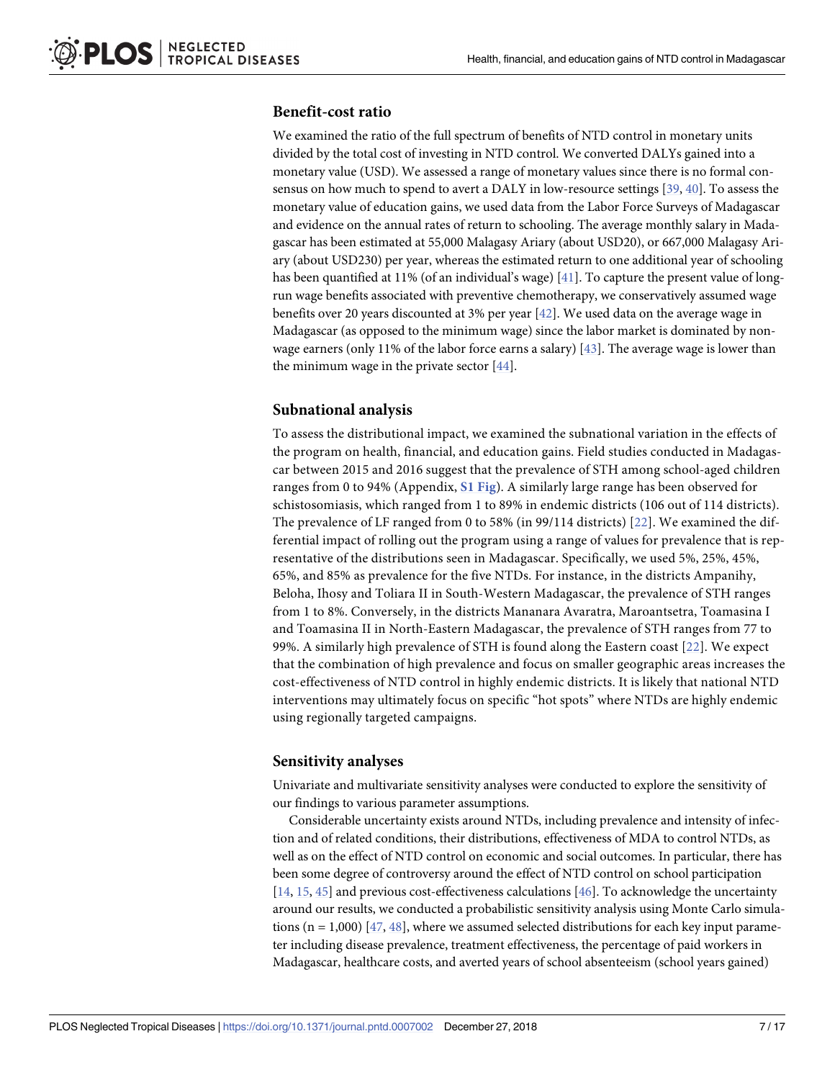#### <span id="page-6-0"></span>**Benefit-cost ratio**

We examined the ratio of the full spectrum of benefits of NTD control in monetary units divided by the total cost of investing in NTD control. We converted DALYs gained into a monetary value (USD). We assessed a range of monetary values since there is no formal consensus on how much to spend to avert a DALY in low-resource settings [[39](#page-14-0), [40](#page-14-0)]. To assess the monetary value of education gains, we used data from the Labor Force Surveys of Madagascar and evidence on the annual rates of return to schooling. The average monthly salary in Madagascar has been estimated at 55,000 Malagasy Ariary (about USD20), or 667,000 Malagasy Ariary (about USD230) per year, whereas the estimated return to one additional year of schooling has been quantified at 11% (of an individual's wage) [[41](#page-14-0)]. To capture the present value of longrun wage benefits associated with preventive chemotherapy, we conservatively assumed wage benefits over 20 years discounted at 3% per year [[42](#page-14-0)]. We used data on the average wage in Madagascar (as opposed to the minimum wage) since the labor market is dominated by nonwage earners (only 11% of the labor force earns a salary) [\[43\]](#page-15-0). The average wage is lower than the minimum wage in the private sector  $[44]$ .

#### **Subnational analysis**

To assess the distributional impact, we examined the subnational variation in the effects of the program on health, financial, and education gains. Field studies conducted in Madagascar between 2015 and 2016 suggest that the prevalence of STH among school-aged children ranges from 0 to 94% (Appendix, **S1 [Fig](#page-12-0)**). A similarly large range has been observed for schistosomiasis, which ranged from 1 to 89% in endemic districts (106 out of 114 districts). The prevalence of LF ranged from 0 to 58% (in 99/114 districts) [\[22](#page-14-0)]. We examined the differential impact of rolling out the program using a range of values for prevalence that is representative of the distributions seen in Madagascar. Specifically, we used 5%, 25%, 45%, 65%, and 85% as prevalence for the five NTDs. For instance, in the districts Ampanihy, Beloha, Ihosy and Toliara II in South-Western Madagascar, the prevalence of STH ranges from 1 to 8%. Conversely, in the districts Mananara Avaratra, Maroantsetra, Toamasina I and Toamasina II in North-Eastern Madagascar, the prevalence of STH ranges from 77 to 99%. A similarly high prevalence of STH is found along the Eastern coast [\[22](#page-14-0)]. We expect that the combination of high prevalence and focus on smaller geographic areas increases the cost-effectiveness of NTD control in highly endemic districts. It is likely that national NTD interventions may ultimately focus on specific "hot spots" where NTDs are highly endemic using regionally targeted campaigns.

#### **Sensitivity analyses**

Univariate and multivariate sensitivity analyses were conducted to explore the sensitivity of our findings to various parameter assumptions.

Considerable uncertainty exists around NTDs, including prevalence and intensity of infection and of related conditions, their distributions, effectiveness of MDA to control NTDs, as well as on the effect of NTD control on economic and social outcomes. In particular, there has been some degree of controversy around the effect of NTD control on school participation [\[14,](#page-13-0) [15,](#page-13-0) [45\]](#page-15-0) and previous cost-effectiveness calculations [\[46\]](#page-15-0). To acknowledge the uncertainty around our results, we conducted a probabilistic sensitivity analysis using Monte Carlo simulations  $(n = 1,000)$  [\[47,](#page-15-0) [48\]](#page-15-0), where we assumed selected distributions for each key input parameter including disease prevalence, treatment effectiveness, the percentage of paid workers in Madagascar, healthcare costs, and averted years of school absenteeism (school years gained)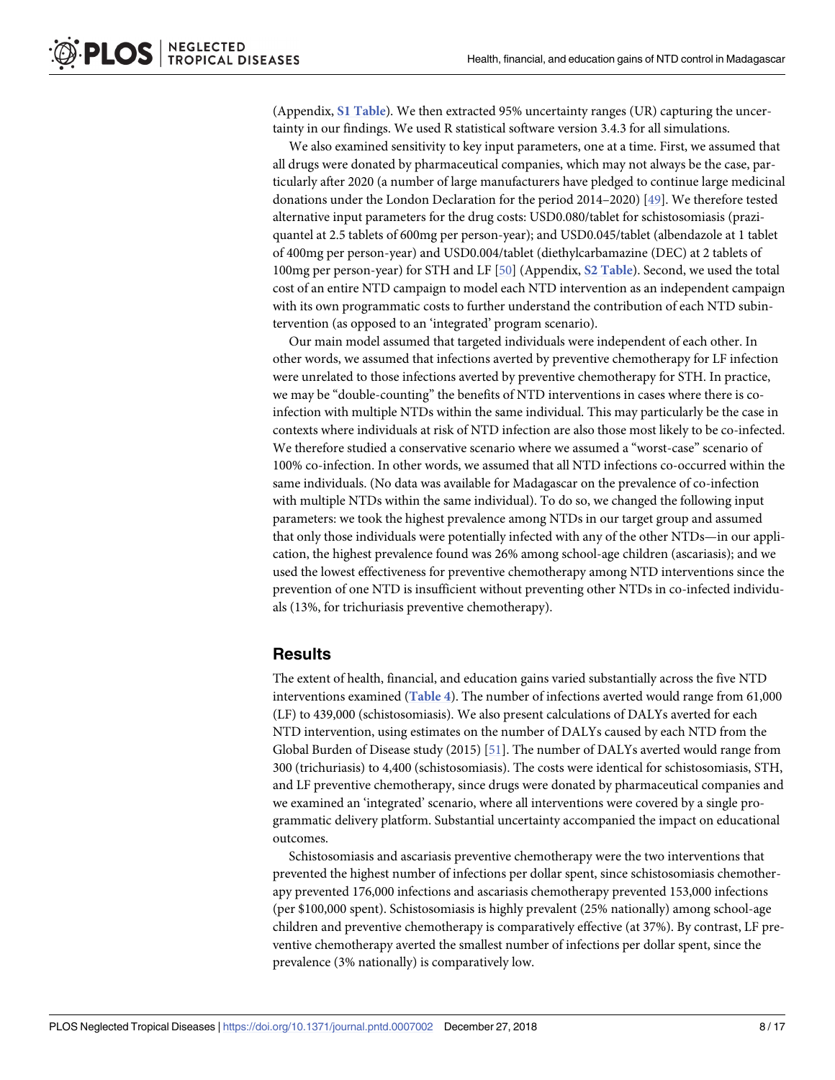<span id="page-7-0"></span>(Appendix, **S1 [Table](#page-11-0)**). We then extracted 95% uncertainty ranges (UR) capturing the uncertainty in our findings. We used R statistical software version 3.4.3 for all simulations.

We also examined sensitivity to key input parameters, one at a time. First, we assumed that all drugs were donated by pharmaceutical companies, which may not always be the case, particularly after 2020 (a number of large manufacturers have pledged to continue large medicinal donations under the London Declaration for the period 2014–2020) [\[49\]](#page-15-0). We therefore tested alternative input parameters for the drug costs: USD0.080/tablet for schistosomiasis (praziquantel at 2.5 tablets of 600mg per person-year); and USD0.045/tablet (albendazole at 1 tablet of 400mg per person-year) and USD0.004/tablet (diethylcarbamazine (DEC) at 2 tablets of 100mg per person-year) for STH and LF [\[50\]](#page-15-0) (Appendix, **S2 [Table](#page-11-0)**). Second, we used the total cost of an entire NTD campaign to model each NTD intervention as an independent campaign with its own programmatic costs to further understand the contribution of each NTD subintervention (as opposed to an 'integrated' program scenario).

Our main model assumed that targeted individuals were independent of each other. In other words, we assumed that infections averted by preventive chemotherapy for LF infection were unrelated to those infections averted by preventive chemotherapy for STH. In practice, we may be "double-counting" the benefits of NTD interventions in cases where there is coinfection with multiple NTDs within the same individual. This may particularly be the case in contexts where individuals at risk of NTD infection are also those most likely to be co-infected. We therefore studied a conservative scenario where we assumed a "worst-case" scenario of 100% co-infection. In other words, we assumed that all NTD infections co-occurred within the same individuals. (No data was available for Madagascar on the prevalence of co-infection with multiple NTDs within the same individual). To do so, we changed the following input parameters: we took the highest prevalence among NTDs in our target group and assumed that only those individuals were potentially infected with any of the other NTDs—in our application, the highest prevalence found was 26% among school-age children (ascariasis); and we used the lowest effectiveness for preventive chemotherapy among NTD interventions since the prevention of one NTD is insufficient without preventing other NTDs in co-infected individuals (13%, for trichuriasis preventive chemotherapy).

#### **Results**

The extent of health, financial, and education gains varied substantially across the five NTD interventions examined (**[Table](#page-8-0) 4**). The number of infections averted would range from 61,000 (LF) to 439,000 (schistosomiasis). We also present calculations of DALYs averted for each NTD intervention, using estimates on the number of DALYs caused by each NTD from the Global Burden of Disease study (2015) [\[51\]](#page-15-0). The number of DALYs averted would range from 300 (trichuriasis) to 4,400 (schistosomiasis). The costs were identical for schistosomiasis, STH, and LF preventive chemotherapy, since drugs were donated by pharmaceutical companies and we examined an 'integrated' scenario, where all interventions were covered by a single programmatic delivery platform. Substantial uncertainty accompanied the impact on educational outcomes.

Schistosomiasis and ascariasis preventive chemotherapy were the two interventions that prevented the highest number of infections per dollar spent, since schistosomiasis chemotherapy prevented 176,000 infections and ascariasis chemotherapy prevented 153,000 infections (per \$100,000 spent). Schistosomiasis is highly prevalent (25% nationally) among school-age children and preventive chemotherapy is comparatively effective (at 37%). By contrast, LF preventive chemotherapy averted the smallest number of infections per dollar spent, since the prevalence (3% nationally) is comparatively low.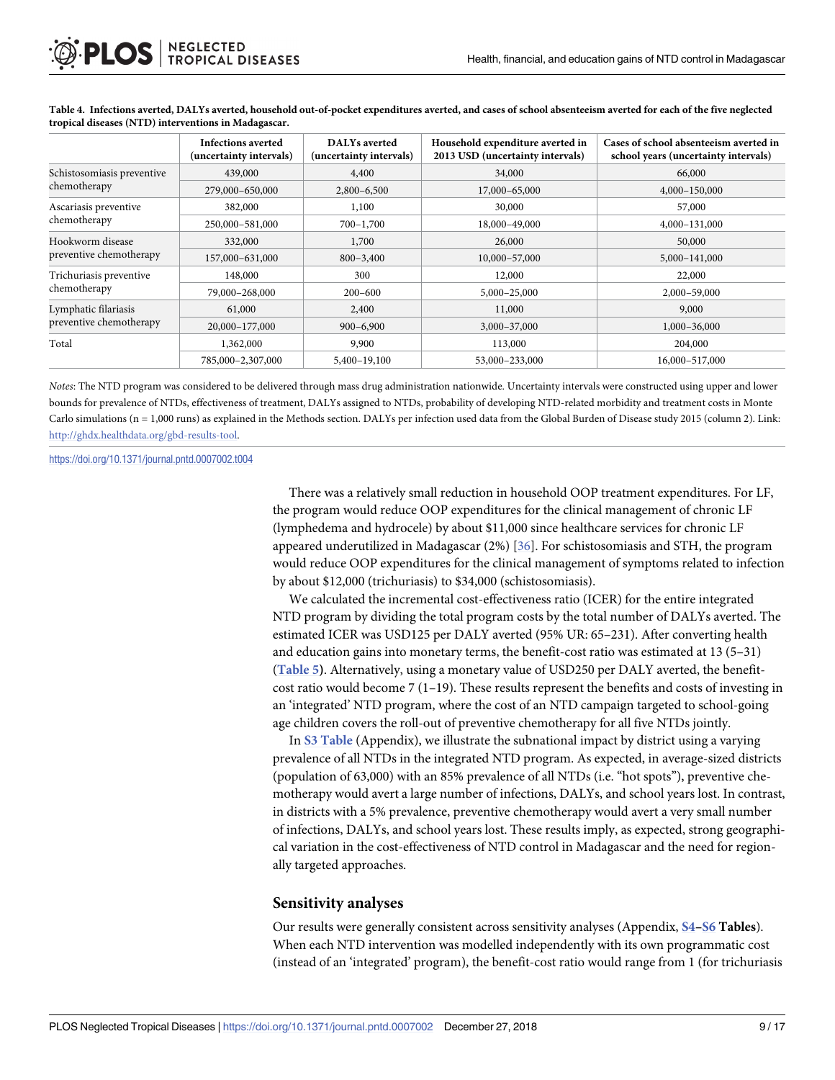|                            | <b>Infections averted</b> | <b>DALYs</b> averted    | Household expenditure averted in                                                                                          | Cases of school absenteeism averted in |
|----------------------------|---------------------------|-------------------------|---------------------------------------------------------------------------------------------------------------------------|----------------------------------------|
|                            | (uncertainty intervals)   | (uncertainty intervals) | 2013 USD (uncertainty intervals)                                                                                          | school years (uncertainty intervals)   |
| Schistosomiasis preventive | 439,000                   | 4,400                   | 34,000                                                                                                                    | 66,000                                 |
| chemotherapy               | 279,000-650,000           | $2,800 - 6,500$         | 17,000-65,000                                                                                                             | 4,000-150,000                          |
| Ascariasis preventive      | 382,000                   | 1,100                   | 30,000                                                                                                                    | 57,000                                 |
| chemotherapy               | 250,000-581,000           | $700 - 1,700$           | 18,000-49,000<br>26,000<br>50,000<br>10,000-57,000<br>12,000<br>22,000<br>5,000-25,000<br>11,000<br>9,000<br>3,000-37,000 | 4,000-131,000                          |
| Hookworm disease           | 332,000                   | 1,700                   |                                                                                                                           |                                        |
| preventive chemotherapy    | 157,000-631,000           | $800 - 3,400$           |                                                                                                                           | 5,000-141,000                          |
| Trichuriasis preventive    | 148,000                   | 300                     | 113,000<br>53,000-233,000                                                                                                 |                                        |
| chemotherapy               | 79,000-268,000            | $200 - 600$             |                                                                                                                           | 2,000-59,000                           |
| Lymphatic filariasis       | 61,000                    | 2,400                   |                                                                                                                           |                                        |
| preventive chemotherapy    | 20,000-177,000            | $900 - 6,900$           |                                                                                                                           | 1,000-36,000                           |
| Total                      | 1,362,000                 | 9,900                   |                                                                                                                           | 204,000                                |
|                            | 785,000-2,307,000         | 5,400-19,100            |                                                                                                                           | 16,000-517,000                         |

<span id="page-8-0"></span>[Table](#page-7-0) 4. Infections averted, DALYs averted, household out-of-pocket expenditures averted, and cases of school absenteeism averted for each of the five neglected **tropical diseases (NTD) interventions in Madagascar.**

*Notes*: The NTD program was considered to be delivered through mass drug administration nationwide. Uncertainty intervals were constructed using upper and lower bounds for prevalence of NTDs, effectiveness of treatment, DALYs assigned to NTDs, probability of developing NTD-related morbidity and treatment costs in Monte Carlo simulations (n = 1,000 runs) as explained in the Methods section. DALYs per infection used data from the Global Burden of Disease study 2015 (column 2). Link: [http://ghdx.healthdata.org/gbd-results-tool.](http://ghdx.healthdata.org/gbd-results-tool)

<https://doi.org/10.1371/journal.pntd.0007002.t004>

There was a relatively small reduction in household OOP treatment expenditures. For LF, the program would reduce OOP expenditures for the clinical management of chronic LF (lymphedema and hydrocele) by about \$11,000 since healthcare services for chronic LF appeared underutilized in Madagascar (2%) [[36](#page-14-0)]. For schistosomiasis and STH, the program would reduce OOP expenditures for the clinical management of symptoms related to infection by about \$12,000 (trichuriasis) to \$34,000 (schistosomiasis).

We calculated the incremental cost-effectiveness ratio (ICER) for the entire integrated NTD program by dividing the total program costs by the total number of DALYs averted. The estimated ICER was USD125 per DALY averted (95% UR: 65–231). After converting health and education gains into monetary terms, the benefit-cost ratio was estimated at 13 (5–31) (**[Table](#page-9-0) 5)**. Alternatively, using a monetary value of USD250 per DALY averted, the benefitcost ratio would become  $7(1-19)$ . These results represent the benefits and costs of investing in an 'integrated' NTD program, where the cost of an NTD campaign targeted to school-going age children covers the roll-out of preventive chemotherapy for all five NTDs jointly.

In **S3 [Table](#page-11-0)** (Appendix), we illustrate the subnational impact by district using a varying prevalence of all NTDs in the integrated NTD program. As expected, in average-sized districts (population of 63,000) with an 85% prevalence of all NTDs (i.e. "hot spots"), preventive chemotherapy would avert a large number of infections, DALYs, and school years lost. In contrast, in districts with a 5% prevalence, preventive chemotherapy would avert a very small number of infections, DALYs, and school years lost. These results imply, as expected, strong geographical variation in the cost-effectiveness of NTD control in Madagascar and the need for regionally targeted approaches.

#### **Sensitivity analyses**

Our results were generally consistent across sensitivity analyses (Appendix, **[S4–](#page-11-0)[S6](#page-12-0) Tables**). When each NTD intervention was modelled independently with its own programmatic cost (instead of an 'integrated' program), the benefit-cost ratio would range from 1 (for trichuriasis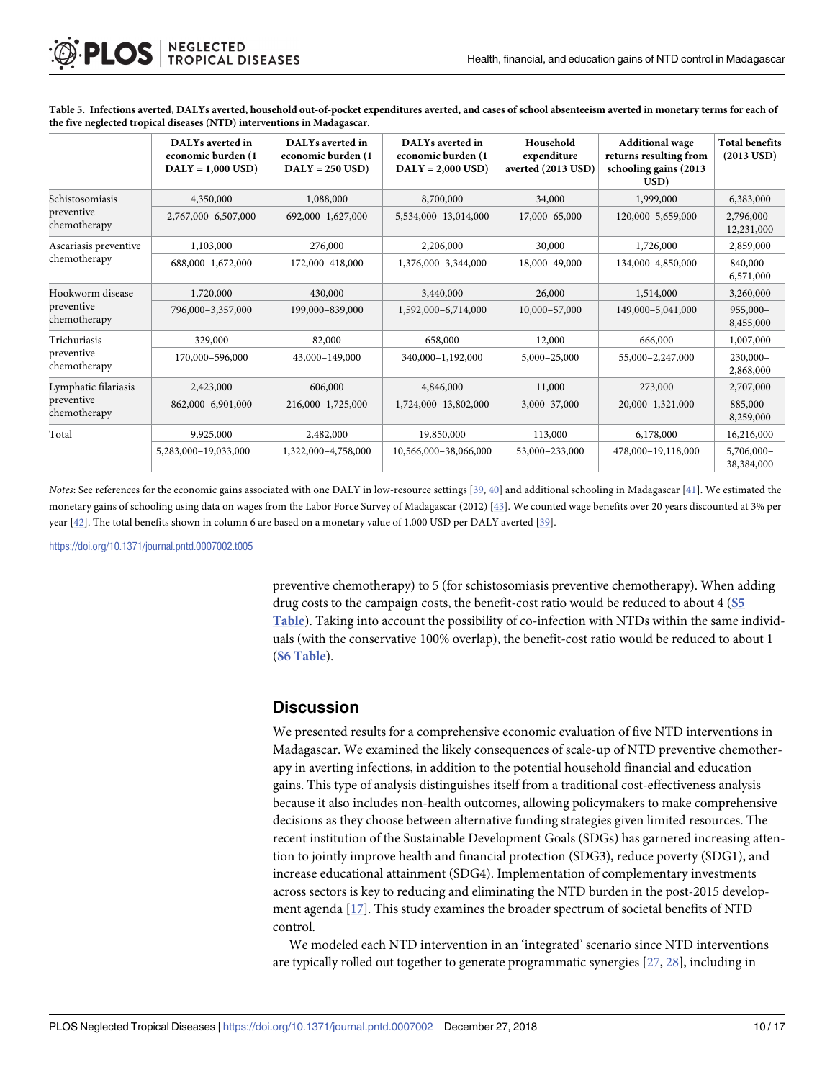|                                                                                                                                                                                        | DALYs averted in<br>economic burden (1)<br>$DALY = 1,000 USD$ | DALYs averted in<br>economic burden (1<br>$DALY = 250$ USD) | DALYs averted in<br>economic burden (1<br>$DALY = 2,000$ USD)                                                                                                                    | Household<br>expenditure<br>averted (2013 USD) | <b>Additional wage</b><br>returns resulting from<br>schooling gains (2013<br>$\bf USD)$ | <b>Total benefits</b><br>$(2013 \text{ USD})$ |
|----------------------------------------------------------------------------------------------------------------------------------------------------------------------------------------|---------------------------------------------------------------|-------------------------------------------------------------|----------------------------------------------------------------------------------------------------------------------------------------------------------------------------------|------------------------------------------------|-----------------------------------------------------------------------------------------|-----------------------------------------------|
| Schistosomiasis<br>preventive<br>chemotherapy<br>Ascariasis preventive<br>chemotherapy<br>Hookworm disease<br>preventive<br>chemotherapy<br>Trichuriasis<br>preventive<br>chemotherapy | 4,350,000                                                     | 1,088,000                                                   | 8,700,000                                                                                                                                                                        | 34,000                                         | 1,999,000                                                                               | 6,383,000                                     |
|                                                                                                                                                                                        | 2,767,000-6,507,000                                           | 692,000-1,627,000                                           | 5,534,000-13,014,000                                                                                                                                                             | 17,000-65,000                                  | 120,000-5,659,000                                                                       | 2,796,000-<br>12,231,000                      |
|                                                                                                                                                                                        | 1,103,000                                                     | 276,000                                                     | 2,206,000<br>1,376,000-3,344,000<br>3,440,000<br>1,592,000-6,714,000<br>658,000<br>340,000-1,192,000<br>4,846,000<br>1,724,000-13,802,000<br>19,850,000<br>10,566,000-38,066,000 | 30,000                                         | 1,726,000                                                                               | 2,859,000                                     |
|                                                                                                                                                                                        | 688,000-1,672,000                                             | 172,000-418,000                                             |                                                                                                                                                                                  | 18,000-49,000                                  | 134,000-4,850,000                                                                       | 840,000-<br>6,571,000                         |
|                                                                                                                                                                                        | 1,720,000                                                     | 430,000                                                     |                                                                                                                                                                                  | 26,000                                         | 1,514,000                                                                               | 3,260,000                                     |
|                                                                                                                                                                                        | 796,000-3,357,000                                             | 199,000-839,000                                             |                                                                                                                                                                                  | 10,000-57,000                                  | 149,000-5,041,000                                                                       | $955,000 -$<br>8,455,000                      |
|                                                                                                                                                                                        | 329,000                                                       | 82,000                                                      |                                                                                                                                                                                  | 12,000                                         | 666,000                                                                                 | 1,007,000                                     |
|                                                                                                                                                                                        | 170,000-596,000                                               | 43,000-149,000                                              |                                                                                                                                                                                  | 5,000-25,000                                   | 55,000-2,247,000                                                                        | $230,000 -$<br>2,868,000                      |
| Lymphatic filariasis<br>preventive<br>chemotherapy                                                                                                                                     | 2,423,000                                                     | 606,000                                                     |                                                                                                                                                                                  | 11,000                                         | 273,000                                                                                 | 2,707,000                                     |
|                                                                                                                                                                                        | 862,000-6,901,000                                             | 216,000-1,725,000                                           |                                                                                                                                                                                  | 3,000-37,000                                   | 20,000-1,321,000                                                                        | 885,000-<br>8,259,000                         |
| Total                                                                                                                                                                                  | 9,925,000                                                     | 2,482,000                                                   |                                                                                                                                                                                  | 113,000                                        | 6,178,000                                                                               | 16,216,000                                    |
|                                                                                                                                                                                        | 5,283,000-19,033,000                                          | 1,322,000-4,758,000                                         |                                                                                                                                                                                  | 53,000-233,000                                 | 478,000-19,118,000                                                                      | 5,706,000-<br>38,384,000                      |

<span id="page-9-0"></span>[Table](#page-8-0) 5. Infections averted, DALYs averted, household out-of-pocket expenditures averted, and cases of school absenteeism averted in monetary terms for each of **the five neglected tropical diseases (NTD) interventions in Madagascar.**

*Notes*: See references for the economic gains associated with one DALY in low-resource settings [\[39,](#page-14-0) [40](#page-14-0)] and additional schooling in Madagascar [\[41\]](#page-14-0). We estimated the monetary gains of schooling using data on wages from the Labor Force Survey of Madagascar (2012) [\[43\]](#page-15-0). We counted wage benefits over 20 years discounted at 3% per year [\[42\]](#page-14-0). The total benefits shown in column 6 are based on a monetary value of 1,000 USD per DALY averted [[39](#page-14-0)].

<https://doi.org/10.1371/journal.pntd.0007002.t005>

preventive chemotherapy) to 5 (for schistosomiasis preventive chemotherapy). When adding drug costs to the campaign costs, the benefit-cost ratio would be reduced to about 4 (**[S5](#page-12-0) [Table](#page-12-0)**). Taking into account the possibility of co-infection with NTDs within the same individuals (with the conservative 100% overlap), the benefit-cost ratio would be reduced to about 1 (**S6 [Table](#page-12-0)**).

#### **Discussion**

We presented results for a comprehensive economic evaluation of five NTD interventions in Madagascar. We examined the likely consequences of scale-up of NTD preventive chemotherapy in averting infections, in addition to the potential household financial and education gains. This type of analysis distinguishes itself from a traditional cost-effectiveness analysis because it also includes non-health outcomes, allowing policymakers to make comprehensive decisions as they choose between alternative funding strategies given limited resources. The recent institution of the Sustainable Development Goals (SDGs) has garnered increasing attention to jointly improve health and financial protection (SDG3), reduce poverty (SDG1), and increase educational attainment (SDG4). Implementation of complementary investments across sectors is key to reducing and eliminating the NTD burden in the post-2015 development agenda [\[17\]](#page-13-0). This study examines the broader spectrum of societal benefits of NTD control.

We modeled each NTD intervention in an 'integrated' scenario since NTD interventions are typically rolled out together to generate programmatic synergies [[27](#page-14-0), [28](#page-14-0)], including in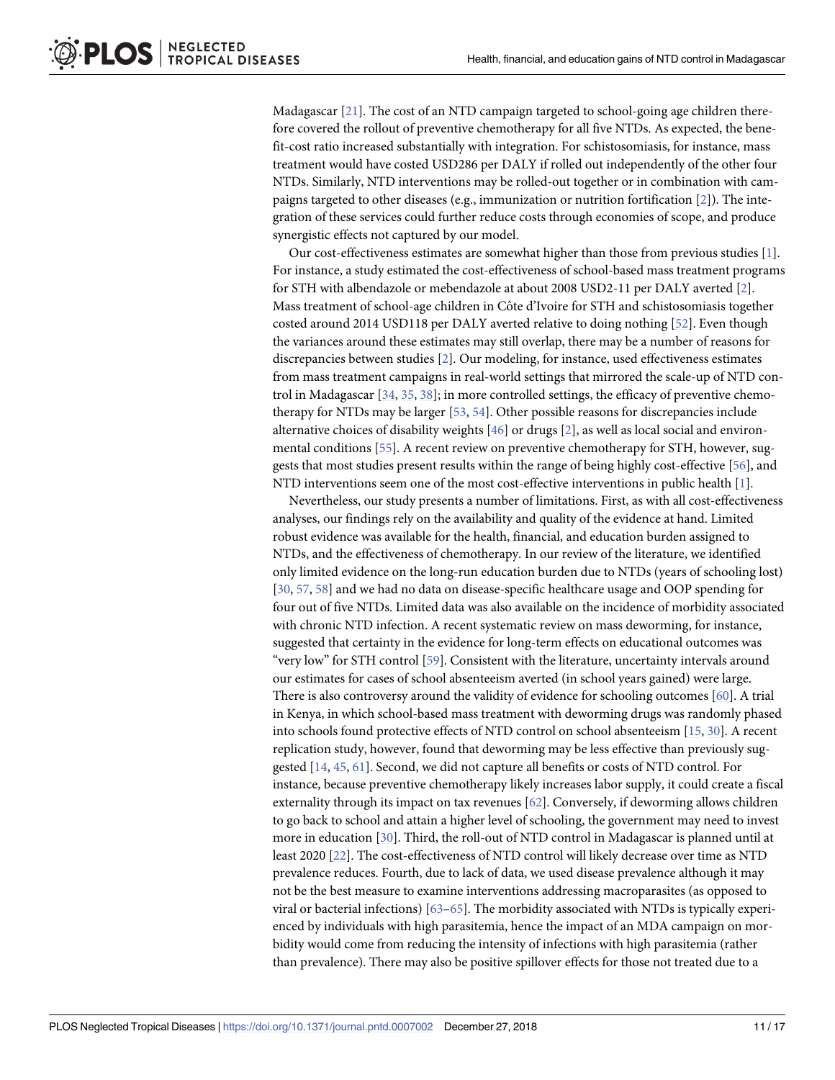<span id="page-10-0"></span>Madagascar [\[21\]](#page-14-0). The cost of an NTD campaign targeted to school-going age children therefore covered the rollout of preventive chemotherapy for all five NTDs. As expected, the benefit-cost ratio increased substantially with integration. For schistosomiasis, for instance, mass treatment would have costed USD286 per DALY if rolled out independently of the other four NTDs. Similarly, NTD interventions may be rolled-out together or in combination with campaigns targeted to other diseases (e.g., immunization or nutrition fortification [[2](#page-13-0)]). The integration of these services could further reduce costs through economies of scope, and produce synergistic effects not captured by our model.

Our cost-effectiveness estimates are somewhat higher than those from previous studies [[1\]](#page-13-0). For instance, a study estimated the cost-effectiveness of school-based mass treatment programs for STH with albendazole or mebendazole at about 2008 USD2-11 per DALY averted [\[2](#page-13-0)]. Mass treatment of school-age children in Côte d'Ivoire for STH and schistosomiasis together costed around 2014 USD118 per DALY averted relative to doing nothing [\[52\]](#page-15-0). Even though the variances around these estimates may still overlap, there may be a number of reasons for discrepancies between studies [\[2\]](#page-13-0). Our modeling, for instance, used effectiveness estimates from mass treatment campaigns in real-world settings that mirrored the scale-up of NTD control in Madagascar [\[34,](#page-14-0) [35,](#page-14-0) [38\]](#page-14-0); in more controlled settings, the efficacy of preventive chemotherapy for NTDs may be larger [[53,](#page-15-0) [54\]](#page-15-0). Other possible reasons for discrepancies include alternative choices of disability weights [\[46\]](#page-15-0) or drugs [\[2](#page-13-0)], as well as local social and environmental conditions [\[55\]](#page-15-0). A recent review on preventive chemotherapy for STH, however, suggests that most studies present results within the range of being highly cost-effective [[56](#page-15-0)], and NTD interventions seem one of the most cost-effective interventions in public health [\[1](#page-13-0)].

Nevertheless, our study presents a number of limitations. First, as with all cost-effectiveness analyses, our findings rely on the availability and quality of the evidence at hand. Limited robust evidence was available for the health, financial, and education burden assigned to NTDs, and the effectiveness of chemotherapy. In our review of the literature, we identified only limited evidence on the long-run education burden due to NTDs (years of schooling lost) [\[30,](#page-14-0) [57,](#page-15-0) [58\]](#page-15-0) and we had no data on disease-specific healthcare usage and OOP spending for four out of five NTDs. Limited data was also available on the incidence of morbidity associated with chronic NTD infection. A recent systematic review on mass deworming, for instance, suggested that certainty in the evidence for long-term effects on educational outcomes was "very low" for STH control [[59](#page-15-0)]. Consistent with the literature, uncertainty intervals around our estimates for cases of school absenteeism averted (in school years gained) were large. There is also controversy around the validity of evidence for schooling outcomes [\[60\]](#page-15-0). A trial in Kenya, in which school-based mass treatment with deworming drugs was randomly phased into schools found protective effects of NTD control on school absenteeism [[15](#page-13-0), [30](#page-14-0)]. A recent replication study, however, found that deworming may be less effective than previously suggested [[14](#page-13-0), [45](#page-15-0), [61](#page-15-0)]. Second, we did not capture all benefits or costs of NTD control. For instance, because preventive chemotherapy likely increases labor supply, it could create a fiscal externality through its impact on tax revenues [\[62\]](#page-15-0). Conversely, if deworming allows children to go back to school and attain a higher level of schooling, the government may need to invest more in education [[30](#page-14-0)]. Third, the roll-out of NTD control in Madagascar is planned until at least 2020 [\[22\]](#page-14-0). The cost-effectiveness of NTD control will likely decrease over time as NTD prevalence reduces. Fourth, due to lack of data, we used disease prevalence although it may not be the best measure to examine interventions addressing macroparasites (as opposed to viral or bacterial infections) [\[63–65\]](#page-16-0). The morbidity associated with NTDs is typically experienced by individuals with high parasitemia, hence the impact of an MDA campaign on morbidity would come from reducing the intensity of infections with high parasitemia (rather than prevalence). There may also be positive spillover effects for those not treated due to a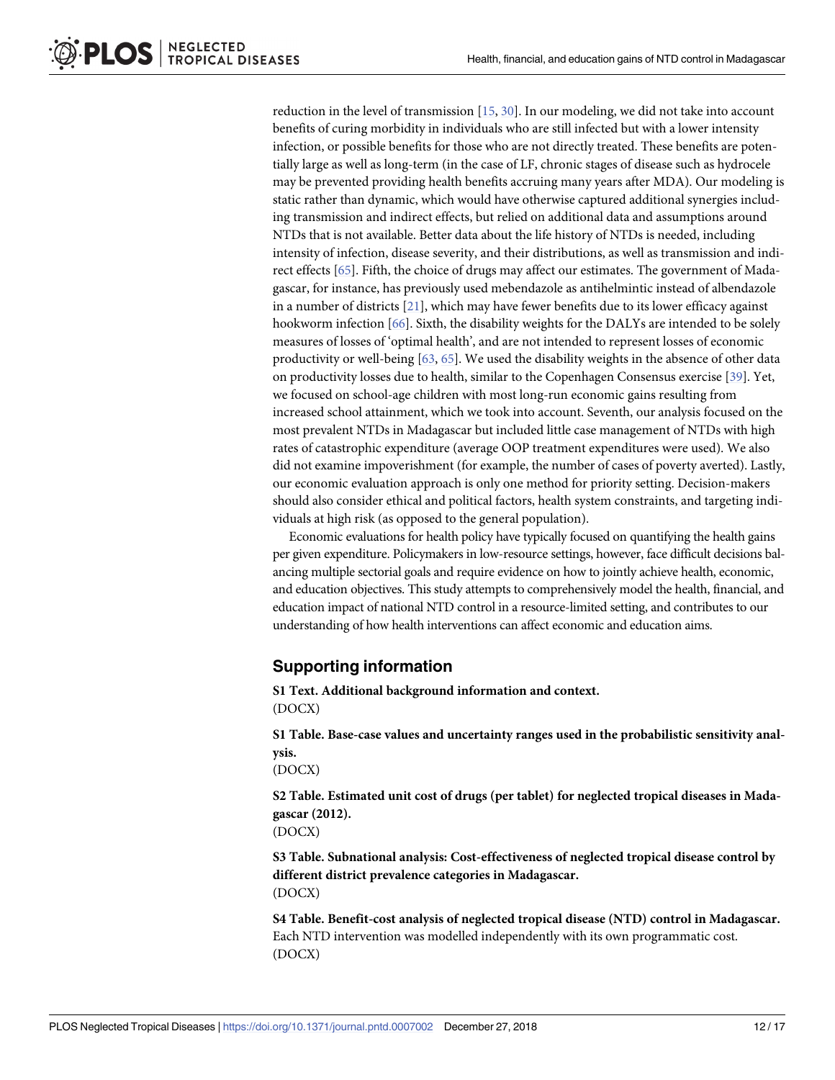<span id="page-11-0"></span>reduction in the level of transmission [[15](#page-13-0), [30\]](#page-14-0). In our modeling, we did not take into account benefits of curing morbidity in individuals who are still infected but with a lower intensity infection, or possible benefits for those who are not directly treated. These benefits are potentially large as well as long-term (in the case of LF, chronic stages of disease such as hydrocele may be prevented providing health benefits accruing many years after MDA). Our modeling is static rather than dynamic, which would have otherwise captured additional synergies including transmission and indirect effects, but relied on additional data and assumptions around NTDs that is not available. Better data about the life history of NTDs is needed, including intensity of infection, disease severity, and their distributions, as well as transmission and indirect effects [\[65\]](#page-16-0). Fifth, the choice of drugs may affect our estimates. The government of Madagascar, for instance, has previously used mebendazole as antihelmintic instead of albendazole in a number of districts  $[21]$  $[21]$  $[21]$ , which may have fewer benefits due to its lower efficacy against hookworm infection [[66](#page-16-0)]. Sixth, the disability weights for the DALYs are intended to be solely measures of losses of 'optimal health', and are not intended to represent losses of economic productivity or well-being [[63](#page-16-0), [65](#page-16-0)]. We used the disability weights in the absence of other data on productivity losses due to health, similar to the Copenhagen Consensus exercise [\[39\]](#page-14-0). Yet, we focused on school-age children with most long-run economic gains resulting from increased school attainment, which we took into account. Seventh, our analysis focused on the most prevalent NTDs in Madagascar but included little case management of NTDs with high rates of catastrophic expenditure (average OOP treatment expenditures were used). We also did not examine impoverishment (for example, the number of cases of poverty averted). Lastly, our economic evaluation approach is only one method for priority setting. Decision-makers should also consider ethical and political factors, health system constraints, and targeting individuals at high risk (as opposed to the general population).

Economic evaluations for health policy have typically focused on quantifying the health gains per given expenditure. Policymakers in low-resource settings, however, face difficult decisions balancing multiple sectorial goals and require evidence on how to jointly achieve health, economic, and education objectives. This study attempts to comprehensively model the health, financial, and education impact of national NTD control in a resource-limited setting, and contributes to our understanding of how health interventions can affect economic and education aims.

#### **Supporting information**

**S1 [Text](http://journals.plos.org/plosntds/article/asset?unique&id=info:doi/10.1371/journal.pntd.0007002.s001). Additional background information and context.** (DOCX)

**S1 [Table.](http://journals.plos.org/plosntds/article/asset?unique&id=info:doi/10.1371/journal.pntd.0007002.s002) Base-case values and uncertainty ranges used in the probabilistic sensitivity analysis.**

(DOCX)

**S2 [Table.](http://journals.plos.org/plosntds/article/asset?unique&id=info:doi/10.1371/journal.pntd.0007002.s003) Estimated unit cost of drugs (per tablet) for neglected tropical diseases in Madagascar (2012).**

(DOCX)

**S3 [Table.](http://journals.plos.org/plosntds/article/asset?unique&id=info:doi/10.1371/journal.pntd.0007002.s004) Subnational analysis: Cost-effectiveness of neglected tropical disease control by different district prevalence categories in Madagascar.** (DOCX)

**S4 [Table.](http://journals.plos.org/plosntds/article/asset?unique&id=info:doi/10.1371/journal.pntd.0007002.s005) Benefit-cost analysis of neglected tropical disease (NTD) control in Madagascar.** Each NTD intervention was modelled independently with its own programmatic cost. (DOCX)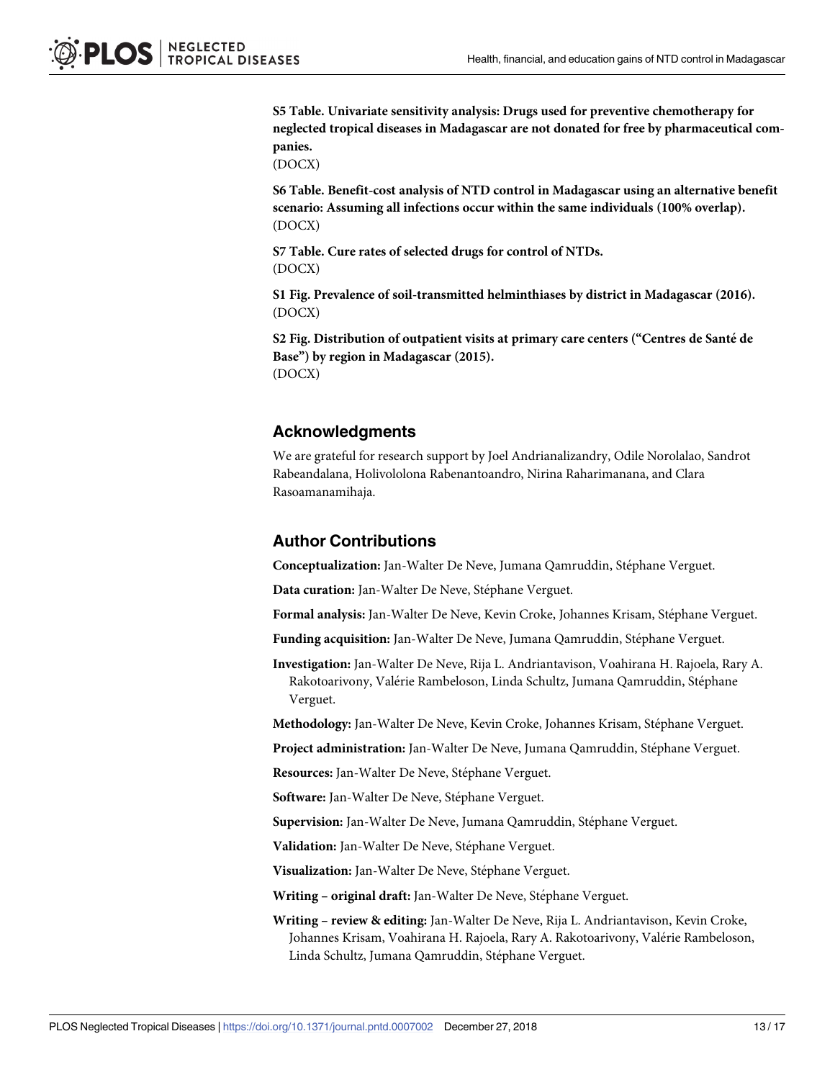<span id="page-12-0"></span>**S5 [Table.](http://journals.plos.org/plosntds/article/asset?unique&id=info:doi/10.1371/journal.pntd.0007002.s006) Univariate sensitivity analysis: Drugs used for preventive chemotherapy for neglected tropical diseases in Madagascar are not donated for free by pharmaceutical companies.**

(DOCX)

**S6 [Table.](http://journals.plos.org/plosntds/article/asset?unique&id=info:doi/10.1371/journal.pntd.0007002.s007) Benefit-cost analysis of NTD control in Madagascar using an alternative benefit scenario: Assuming all infections occur within the same individuals (100% overlap).** (DOCX)

**S7 [Table.](http://journals.plos.org/plosntds/article/asset?unique&id=info:doi/10.1371/journal.pntd.0007002.s008) Cure rates of selected drugs for control of NTDs.** (DOCX)

**S1 [Fig](http://journals.plos.org/plosntds/article/asset?unique&id=info:doi/10.1371/journal.pntd.0007002.s009). Prevalence of soil-transmitted helminthiases by district in Madagascar (2016).** (DOCX)

**S2 [Fig](http://journals.plos.org/plosntds/article/asset?unique&id=info:doi/10.1371/journal.pntd.0007002.s010). Distribution of outpatient visits at primary care centers ("Centres de Sante´ de Base") by region in Madagascar (2015).** (DOCX)

#### **Acknowledgments**

We are grateful for research support by Joel Andrianalizandry, Odile Norolalao, Sandrot Rabeandalana, Holivololona Rabenantoandro, Nirina Raharimanana, and Clara Rasoamanamihaja.

#### **Author Contributions**

**Conceptualization:** Jan-Walter De Neve, Jumana Qamruddin, Stéphane Verguet.

**Data curation:** Jan-Walter De Neve, Stéphane Verguet.

Formal analysis: Jan-Walter De Neve, Kevin Croke, Johannes Krisam, Stéphane Verguet.

**Funding acquisition:** Jan-Walter De Neve, Jumana Qamruddin, Stéphane Verguet.

**Investigation:** Jan-Walter De Neve, Rija L. Andriantavison, Voahirana H. Rajoela, Rary A. Rakotoarivony, Valérie Rambeloson, Linda Schultz, Jumana Qamruddin, Stéphane Verguet.

Methodology: Jan-Walter De Neve, Kevin Croke, Johannes Krisam, Stéphane Verguet.

Project administration: Jan-Walter De Neve, Jumana Qamruddin, Stéphane Verguet.

Resources: Jan-Walter De Neve, Stéphane Verguet.

Software: Jan-Walter De Neve, Stéphane Verguet.

Supervision: Jan-Walter De Neve, Jumana Qamruddin, Stéphane Verguet.

Validation: Jan-Walter De Neve, Stéphane Verguet.

Visualization: Jan-Walter De Neve, Stéphane Verguet.

**Writing – original draft:** Jan-Walter De Neve, Stéphane Verguet.

**Writing – review & editing:** Jan-Walter De Neve, Rija L. Andriantavison, Kevin Croke, Johannes Krisam, Voahirana H. Rajoela, Rary A. Rakotoarivony, Valérie Rambeloson, Linda Schultz, Jumana Qamruddin, Stéphane Verguet.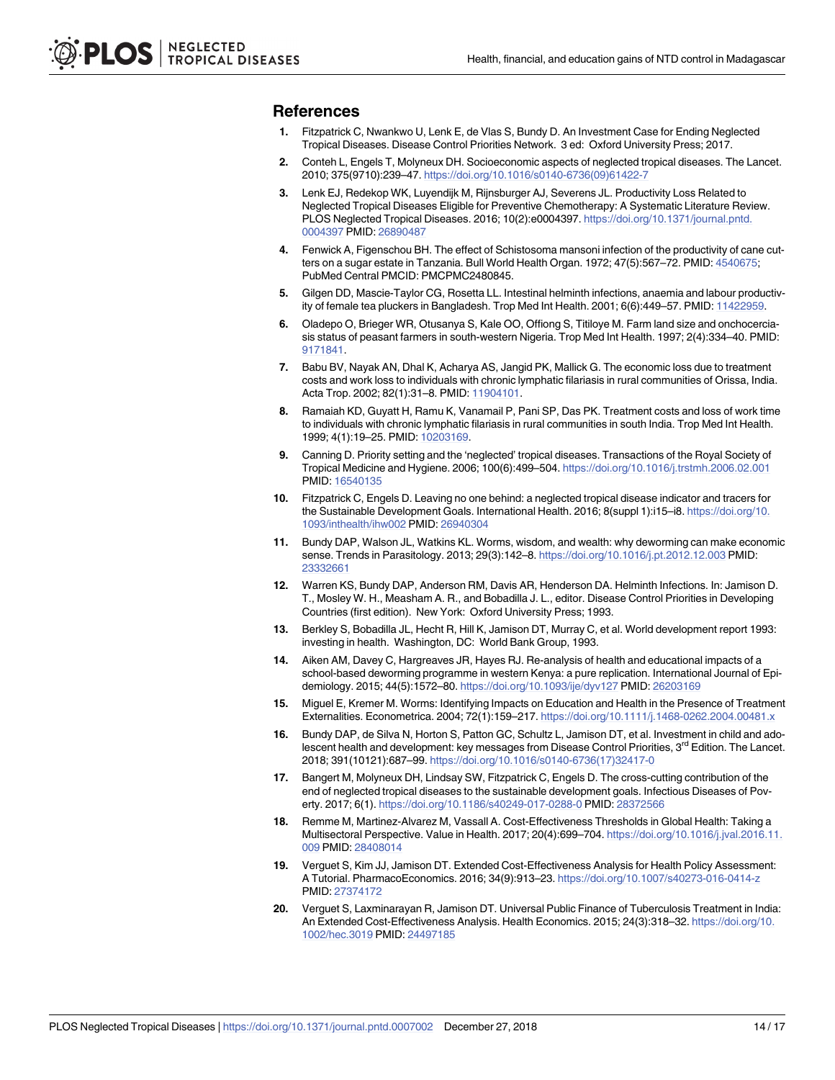#### <span id="page-13-0"></span>**References**

- **[1](#page-1-0).** Fitzpatrick C, Nwankwo U, Lenk E, de Vlas S, Bundy D. An Investment Case for Ending Neglected Tropical Diseases. Disease Control Priorities Network. 3 ed: Oxford University Press; 2017.
- **[2](#page-1-0).** Conteh L, Engels T, Molyneux DH. Socioeconomic aspects of neglected tropical diseases. The Lancet. 2010; 375(9710):239–47. [https://doi.org/10.1016/s0140-6736\(09\)61422-7](https://doi.org/10.1016/s0140-6736(09)61422-7)
- **[3](#page-1-0).** Lenk EJ, Redekop WK, Luyendijk M, Rijnsburger AJ, Severens JL. Productivity Loss Related to Neglected Tropical Diseases Eligible for Preventive Chemotherapy: A Systematic Literature Review. PLOS Neglected Tropical Diseases. 2016; 10(2):e0004397. [https://doi.org/10.1371/journal.pntd.](https://doi.org/10.1371/journal.pntd.0004397) [0004397](https://doi.org/10.1371/journal.pntd.0004397) PMID: [26890487](http://www.ncbi.nlm.nih.gov/pubmed/26890487)
- **[4](#page-1-0).** Fenwick A, Figenschou BH. The effect of Schistosoma mansoni infection of the productivity of cane cutters on a sugar estate in Tanzania. Bull World Health Organ. 1972; 47(5):567–72. PMID: [4540675;](http://www.ncbi.nlm.nih.gov/pubmed/4540675) PubMed Central PMCID: PMCPMC2480845.
- **5.** Gilgen DD, Mascie-Taylor CG, Rosetta LL. Intestinal helminth infections, anaemia and labour productivity of female tea pluckers in Bangladesh. Trop Med Int Health. 2001; 6(6):449–57. PMID: [11422959](http://www.ncbi.nlm.nih.gov/pubmed/11422959).
- **[6](#page-1-0).** Oladepo O, Brieger WR, Otusanya S, Kale OO, Offiong S, Titiloye M. Farm land size and onchocerciasis status of peasant farmers in south-western Nigeria. Trop Med Int Health. 1997; 2(4):334–40. PMID: [9171841](http://www.ncbi.nlm.nih.gov/pubmed/9171841).
- **[7](#page-1-0).** Babu BV, Nayak AN, Dhal K, Acharya AS, Jangid PK, Mallick G. The economic loss due to treatment costs and work loss to individuals with chronic lymphatic filariasis in rural communities of Orissa, India. Acta Trop. 2002; 82(1):31–8. PMID: [11904101](http://www.ncbi.nlm.nih.gov/pubmed/11904101).
- **[8](#page-1-0).** Ramaiah KD, Guyatt H, Ramu K, Vanamail P, Pani SP, Das PK. Treatment costs and loss of work time to individuals with chronic lymphatic filariasis in rural communities in south India. Trop Med Int Health. 1999; 4(1):19–25. PMID: [10203169.](http://www.ncbi.nlm.nih.gov/pubmed/10203169)
- **[9](#page-1-0).** Canning D. Priority setting and the 'neglected' tropical diseases. Transactions of the Royal Society of Tropical Medicine and Hygiene. 2006; 100(6):499–504. <https://doi.org/10.1016/j.trstmh.2006.02.001> PMID: [16540135](http://www.ncbi.nlm.nih.gov/pubmed/16540135)
- **[10](#page-1-0).** Fitzpatrick C, Engels D. Leaving no one behind: a neglected tropical disease indicator and tracers for the Sustainable Development Goals. International Health. 2016; 8(suppl 1):i15–i8. [https://doi.org/10.](https://doi.org/10.1093/inthealth/ihw002) [1093/inthealth/ihw002](https://doi.org/10.1093/inthealth/ihw002) PMID: [26940304](http://www.ncbi.nlm.nih.gov/pubmed/26940304)
- **[11](#page-2-0).** Bundy DAP, Walson JL, Watkins KL. Worms, wisdom, and wealth: why deworming can make economic sense. Trends in Parasitology. 2013; 29(3):142–8. <https://doi.org/10.1016/j.pt.2012.12.003> PMID: [23332661](http://www.ncbi.nlm.nih.gov/pubmed/23332661)
- **[12](#page-2-0).** Warren KS, Bundy DAP, Anderson RM, Davis AR, Henderson DA. Helminth Infections. In: Jamison D. T., Mosley W. H., Measham A. R., and Bobadilla J. L., editor. Disease Control Priorities in Developing Countries (first edition). New York: Oxford University Press; 1993.
- **[13](#page-2-0).** Berkley S, Bobadilla JL, Hecht R, Hill K, Jamison DT, Murray C, et al. World development report 1993: investing in health. Washington, DC: World Bank Group, 1993.
- **[14](#page-2-0).** Aiken AM, Davey C, Hargreaves JR, Hayes RJ. Re-analysis of health and educational impacts of a school-based deworming programme in western Kenya: a pure replication. International Journal of Epidemiology. 2015; 44(5):1572–80. <https://doi.org/10.1093/ije/dyv127> PMID: [26203169](http://www.ncbi.nlm.nih.gov/pubmed/26203169)
- **[15](#page-2-0).** Miguel E, Kremer M. Worms: Identifying Impacts on Education and Health in the Presence of Treatment Externalities. Econometrica. 2004; 72(1):159–217. <https://doi.org/10.1111/j.1468-0262.2004.00481.x>
- **[16](#page-2-0).** Bundy DAP, de Silva N, Horton S, Patton GC, Schultz L, Jamison DT, et al. Investment in child and adolescent health and development: key messages from Disease Control Priorities, 3<sup>rd</sup> Edition. The Lancet. 2018; 391(10121):687–99. [https://doi.org/10.1016/s0140-6736\(17\)32417-0](https://doi.org/10.1016/s0140-6736(17)32417-0)
- **[17](#page-2-0).** Bangert M, Molyneux DH, Lindsay SW, Fitzpatrick C, Engels D. The cross-cutting contribution of the end of neglected tropical diseases to the sustainable development goals. Infectious Diseases of Poverty. 2017; 6(1). <https://doi.org/10.1186/s40249-017-0288-0> PMID: [28372566](http://www.ncbi.nlm.nih.gov/pubmed/28372566)
- **[18](#page-2-0).** Remme M, Martinez-Alvarez M, Vassall A. Cost-Effectiveness Thresholds in Global Health: Taking a Multisectoral Perspective. Value in Health. 2017; 20(4):699–704. [https://doi.org/10.1016/j.jval.2016.11.](https://doi.org/10.1016/j.jval.2016.11.009) [009](https://doi.org/10.1016/j.jval.2016.11.009) PMID: [28408014](http://www.ncbi.nlm.nih.gov/pubmed/28408014)
- **[19](#page-2-0).** Verguet S, Kim JJ, Jamison DT. Extended Cost-Effectiveness Analysis for Health Policy Assessment: A Tutorial. PharmacoEconomics. 2016; 34(9):913–23. <https://doi.org/10.1007/s40273-016-0414-z> PMID: [27374172](http://www.ncbi.nlm.nih.gov/pubmed/27374172)
- **[20](#page-2-0).** Verguet S, Laxminarayan R, Jamison DT. Universal Public Finance of Tuberculosis Treatment in India: An Extended Cost-Effectiveness Analysis. Health Economics. 2015; 24(3):318–32. [https://doi.org/10.](https://doi.org/10.1002/hec.3019) [1002/hec.3019](https://doi.org/10.1002/hec.3019) PMID: [24497185](http://www.ncbi.nlm.nih.gov/pubmed/24497185)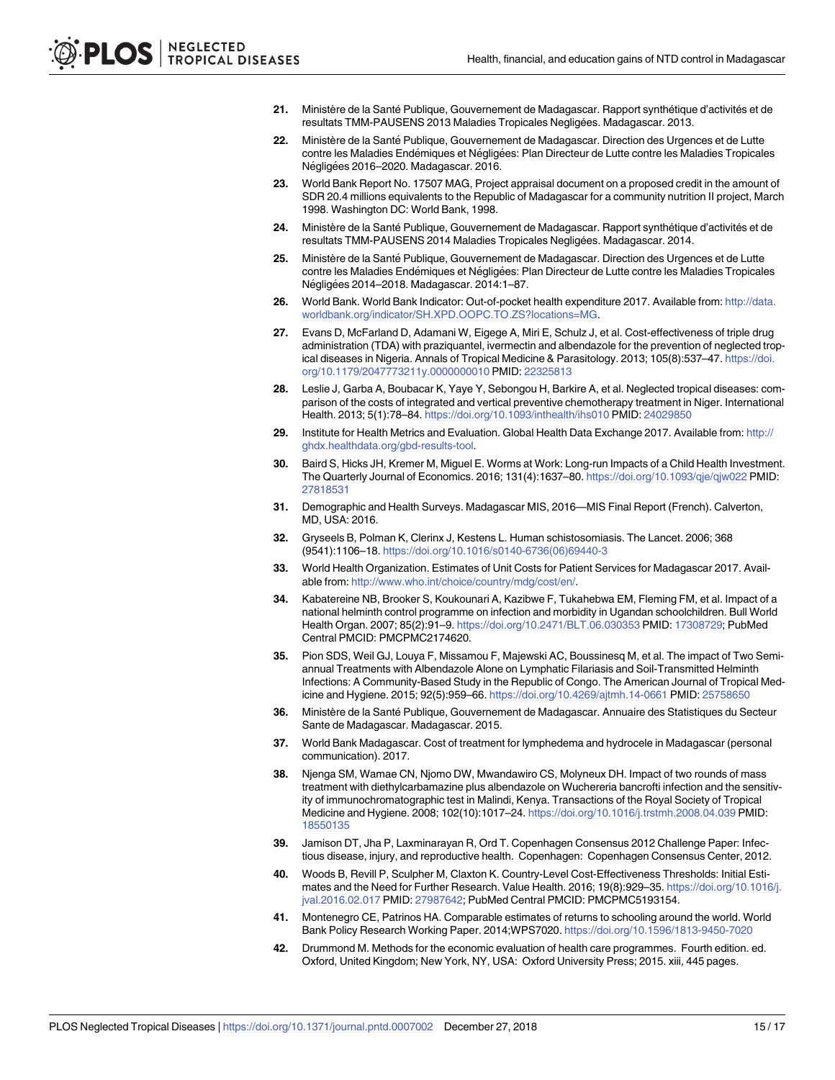- <span id="page-14-0"></span>[21](#page-2-0). Ministère de la Santé Publique, Gouvernement de Madagascar. Rapport synthétique d'activités et de resultats TMM-PAUSENS 2013 Maladies Tropicales Neglige´es. Madagascar. 2013.
- [22](#page-2-0). Ministère de la Santé Publique, Gouvernement de Madagascar. Direction des Urgences et de Lutte contre les Maladies Endémiques et Négligées: Plan Directeur de Lutte contre les Maladies Tropicales Négligées 2016–2020. Madagascar. 2016.
- **[23](#page-3-0).** World Bank Report No. 17507 MAG, Project appraisal document on a proposed credit in the amount of SDR 20.4 millions equivalents to the Republic of Madagascar for a community nutrition II project, March 1998. Washington DC: World Bank, 1998.
- [24](#page-3-0). Ministère de la Santé Publique, Gouvernement de Madagascar. Rapport synthétique d'activités et de resultats TMM-PAUSENS 2014 Maladies Tropicales Negligées. Madagascar. 2014.
- **[25](#page-3-0).** Ministère de la Santé Publique, Gouvernement de Madagascar. Direction des Urgences et de Lutte contre les Maladies Endémiques et Négligées: Plan Directeur de Lutte contre les Maladies Tropicales Négligées 2014–2018. Madagascar. 2014:1–87.
- **[26](#page-3-0).** World Bank. World Bank Indicator: Out-of-pocket health expenditure 2017. Available from: [http://data.](http://data.worldbank.org/indicator/SH.XPD.OOPC.TO.ZS?locations=MG) [worldbank.org/indicator/SH.XPD.OOPC.TO.ZS?locations=MG](http://data.worldbank.org/indicator/SH.XPD.OOPC.TO.ZS?locations=MG).
- **[27](#page-4-0).** Evans D, McFarland D, Adamani W, Eigege A, Miri E, Schulz J, et al. Cost-effectiveness of triple drug administration (TDA) with praziquantel, ivermectin and albendazole for the prevention of neglected tropical diseases in Nigeria. Annals of Tropical Medicine & Parasitology. 2013; 105(8):537–47. [https://doi.](https://doi.org/10.1179/2047773211y.0000000010) [org/10.1179/2047773211y.0000000010](https://doi.org/10.1179/2047773211y.0000000010) PMID: [22325813](http://www.ncbi.nlm.nih.gov/pubmed/22325813)
- **[28](#page-4-0).** Leslie J, Garba A, Boubacar K, Yaye Y, Sebongou H, Barkire A, et al. Neglected tropical diseases: comparison of the costs of integrated and vertical preventive chemotherapy treatment in Niger. International Health. 2013; 5(1):78–84. <https://doi.org/10.1093/inthealth/ihs010> PMID: [24029850](http://www.ncbi.nlm.nih.gov/pubmed/24029850)
- **[29](#page-5-0).** Institute for Health Metrics and Evaluation. Global Health Data Exchange 2017. Available from: [http://](http://ghdx.healthdata.org/gbd-results-tool) [ghdx.healthdata.org/gbd-results-tool](http://ghdx.healthdata.org/gbd-results-tool).
- **[30](#page-5-0).** Baird S, Hicks JH, Kremer M, Miguel E. Worms at Work: Long-run Impacts of a Child Health Investment. The Quarterly Journal of Economics. 2016; 131(4):1637–80. <https://doi.org/10.1093/qje/qjw022> PMID: [27818531](http://www.ncbi.nlm.nih.gov/pubmed/27818531)
- **[31](#page-5-0).** Demographic and Health Surveys. Madagascar MIS, 2016—MIS Final Report (French). Calverton, MD, USA: 2016.
- **[32](#page-5-0).** Gryseels B, Polman K, Clerinx J, Kestens L. Human schistosomiasis. The Lancet. 2006; 368 (9541):1106–18. [https://doi.org/10.1016/s0140-6736\(06\)69440-3](https://doi.org/10.1016/s0140-6736(06)69440-3)
- **[33](#page-5-0).** World Health Organization. Estimates of Unit Costs for Patient Services for Madagascar 2017. Available from: <http://www.who.int/choice/country/mdg/cost/en/>.
- **[34](#page-5-0).** Kabatereine NB, Brooker S, Koukounari A, Kazibwe F, Tukahebwa EM, Fleming FM, et al. Impact of a national helminth control programme on infection and morbidity in Ugandan schoolchildren. Bull World Health Organ. 2007; 85(2):91–9. <https://doi.org/10.2471/BLT.06.030353> PMID: [17308729;](http://www.ncbi.nlm.nih.gov/pubmed/17308729) PubMed Central PMCID: PMCPMC2174620.
- **[35](#page-5-0).** Pion SDS, Weil GJ, Louya F, Missamou F, Majewski AC, Boussinesq M, et al. The impact of Two Semiannual Treatments with Albendazole Alone on Lymphatic Filariasis and Soil-Transmitted Helminth Infections: A Community-Based Study in the Republic of Congo. The American Journal of Tropical Medicine and Hygiene. 2015; 92(5):959–66. <https://doi.org/10.4269/ajtmh.14-0661> PMID: [25758650](http://www.ncbi.nlm.nih.gov/pubmed/25758650)
- [36](#page-5-0). Ministère de la Santé Publique, Gouvernement de Madagascar. Annuaire des Statistiques du Secteur Sante de Madagascar. Madagascar. 2015.
- **[37](#page-5-0).** World Bank Madagascar. Cost of treatment for lymphedema and hydrocele in Madagascar (personal communication). 2017.
- **[38](#page-5-0).** Njenga SM, Wamae CN, Njomo DW, Mwandawiro CS, Molyneux DH. Impact of two rounds of mass treatment with diethylcarbamazine plus albendazole on Wuchereria bancrofti infection and the sensitivity of immunochromatographic test in Malindi, Kenya. Transactions of the Royal Society of Tropical Medicine and Hygiene. 2008; 102(10):1017–24. <https://doi.org/10.1016/j.trstmh.2008.04.039> PMID: [18550135](http://www.ncbi.nlm.nih.gov/pubmed/18550135)
- **[39](#page-6-0).** Jamison DT, Jha P, Laxminarayan R, Ord T. Copenhagen Consensus 2012 Challenge Paper: Infectious disease, injury, and reproductive health. Copenhagen: Copenhagen Consensus Center, 2012.
- **[40](#page-6-0).** Woods B, Revill P, Sculpher M, Claxton K. Country-Level Cost-Effectiveness Thresholds: Initial Estimates and the Need for Further Research. Value Health. 2016; 19(8):929–35. [https://doi.org/10.1016/j.](https://doi.org/10.1016/j.jval.2016.02.017) [jval.2016.02.017](https://doi.org/10.1016/j.jval.2016.02.017) PMID: [27987642](http://www.ncbi.nlm.nih.gov/pubmed/27987642); PubMed Central PMCID: PMCPMC5193154.
- **[41](#page-6-0).** Montenegro CE, Patrinos HA. Comparable estimates of returns to schooling around the world. World Bank Policy Research Working Paper. 2014;WPS7020. <https://doi.org/10.1596/1813-9450-7020>
- **[42](#page-6-0).** Drummond M. Methods for the economic evaluation of health care programmes. Fourth edition. ed. Oxford, United Kingdom; New York, NY, USA: Oxford University Press; 2015. xiii, 445 pages.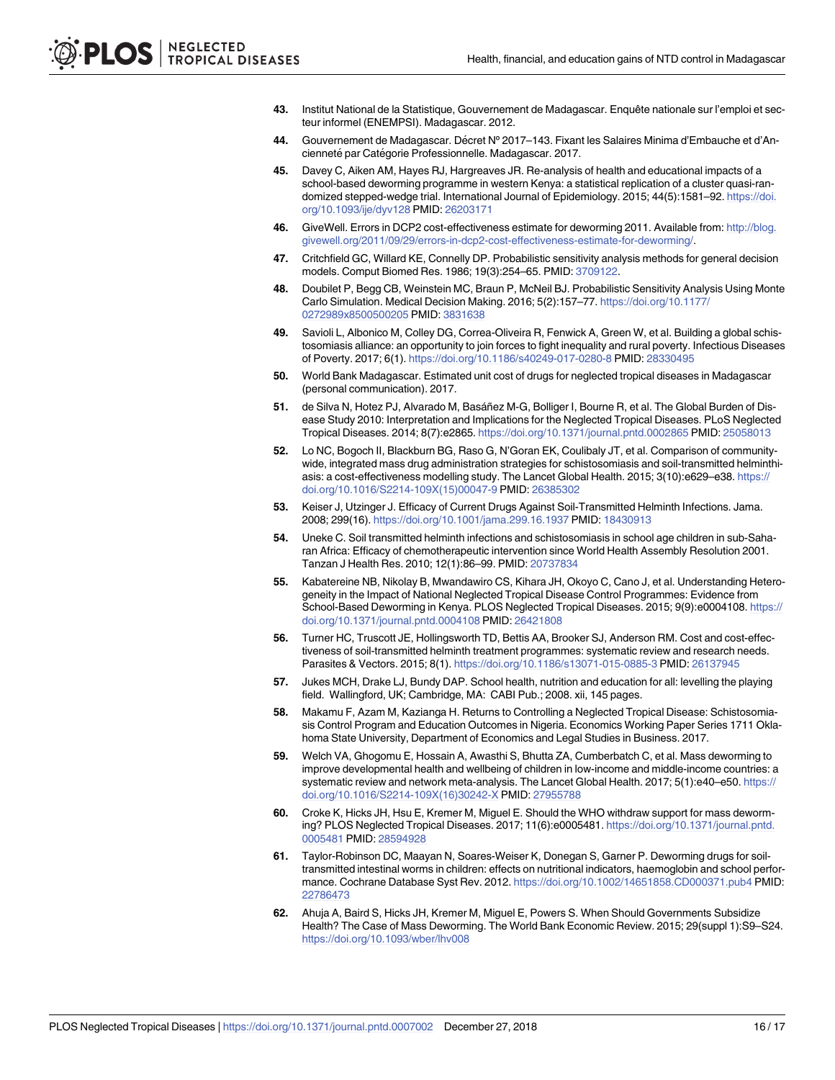- <span id="page-15-0"></span>**[43](#page-6-0).** Institut National de la Statistique, Gouvernement de Madagascar. Enquête nationale sur l'emploi et secteur informel (ENEMPSI). Madagascar. 2012.
- **[44](#page-6-0).** Gouvernement de Madagascar. De´cret Nº 2017–143. Fixant les Salaires Minima d'Embauche et d'Ancienneté par Catégorie Professionnelle. Madagascar. 2017.
- **[45](#page-6-0).** Davey C, Aiken AM, Hayes RJ, Hargreaves JR. Re-analysis of health and educational impacts of a school-based deworming programme in western Kenya: a statistical replication of a cluster quasi-randomized stepped-wedge trial. International Journal of Epidemiology. 2015; 44(5):1581–92. [https://doi.](https://doi.org/10.1093/ije/dyv128) [org/10.1093/ije/dyv128](https://doi.org/10.1093/ije/dyv128) PMID: [26203171](http://www.ncbi.nlm.nih.gov/pubmed/26203171)
- **[46](#page-6-0).** GiveWell. Errors in DCP2 cost-effectiveness estimate for deworming 2011. Available from: [http://blog.](http://blog.givewell.org/2011/09/29/errors-in-dcp2-cost-effectiveness-estimate-for-deworming/) [givewell.org/2011/09/29/errors-in-dcp2-cost-effectiveness-estimate-for-deworming/.](http://blog.givewell.org/2011/09/29/errors-in-dcp2-cost-effectiveness-estimate-for-deworming/)
- **[47](#page-6-0).** Critchfield GC, Willard KE, Connelly DP. Probabilistic sensitivity analysis methods for general decision models. Comput Biomed Res. 1986; 19(3):254–65. PMID: [3709122.](http://www.ncbi.nlm.nih.gov/pubmed/3709122)
- **[48](#page-6-0).** Doubilet P, Begg CB, Weinstein MC, Braun P, McNeil BJ. Probabilistic Sensitivity Analysis Using Monte Carlo Simulation. Medical Decision Making. 2016; 5(2):157–77. [https://doi.org/10.1177/](https://doi.org/10.1177/0272989x8500500205) [0272989x8500500205](https://doi.org/10.1177/0272989x8500500205) PMID: [3831638](http://www.ncbi.nlm.nih.gov/pubmed/3831638)
- **[49](#page-7-0).** Savioli L, Albonico M, Colley DG, Correa-Oliveira R, Fenwick A, Green W, et al. Building a global schistosomiasis alliance: an opportunity to join forces to fight inequality and rural poverty. Infectious Diseases of Poverty. 2017; 6(1). <https://doi.org/10.1186/s40249-017-0280-8> PMID: [28330495](http://www.ncbi.nlm.nih.gov/pubmed/28330495)
- **[50](#page-7-0).** World Bank Madagascar. Estimated unit cost of drugs for neglected tropical diseases in Madagascar (personal communication). 2017.
- **[51](#page-7-0).** de Silva N, Hotez PJ, Alvarado M, Basáñez M-G, Bolliger I, Bourne R, et al. The Global Burden of Disease Study 2010: Interpretation and Implications for the Neglected Tropical Diseases. PLoS Neglected Tropical Diseases. 2014; 8(7):e2865. <https://doi.org/10.1371/journal.pntd.0002865> PMID: [25058013](http://www.ncbi.nlm.nih.gov/pubmed/25058013)
- **[52](#page-10-0).** Lo NC, Bogoch II, Blackburn BG, Raso G, N'Goran EK, Coulibaly JT, et al. Comparison of communitywide, integrated mass drug administration strategies for schistosomiasis and soil-transmitted helminthiasis: a cost-effectiveness modelling study. The Lancet Global Health. 2015; 3(10):e629–e38. [https://](https://doi.org/10.1016/S2214-109X(15)00047-9) [doi.org/10.1016/S2214-109X\(15\)00047-9](https://doi.org/10.1016/S2214-109X(15)00047-9) PMID: [26385302](http://www.ncbi.nlm.nih.gov/pubmed/26385302)
- **[53](#page-10-0).** Keiser J, Utzinger J. Efficacy of Current Drugs Against Soil-Transmitted Helminth Infections. Jama. 2008; 299(16). <https://doi.org/10.1001/jama.299.16.1937> PMID: [18430913](http://www.ncbi.nlm.nih.gov/pubmed/18430913)
- **[54](#page-10-0).** Uneke C. Soil transmitted helminth infections and schistosomiasis in school age children in sub-Saharan Africa: Efficacy of chemotherapeutic intervention since World Health Assembly Resolution 2001. Tanzan J Health Res. 2010; 12(1):86–99. PMID: [20737834](http://www.ncbi.nlm.nih.gov/pubmed/20737834)
- **[55](#page-10-0).** Kabatereine NB, Nikolay B, Mwandawiro CS, Kihara JH, Okoyo C, Cano J, et al. Understanding Heterogeneity in the Impact of National Neglected Tropical Disease Control Programmes: Evidence from School-Based Deworming in Kenya. PLOS Neglected Tropical Diseases. 2015; 9(9):e0004108. [https://](https://doi.org/10.1371/journal.pntd.0004108) [doi.org/10.1371/journal.pntd.0004108](https://doi.org/10.1371/journal.pntd.0004108) PMID: [26421808](http://www.ncbi.nlm.nih.gov/pubmed/26421808)
- **[56](#page-10-0).** Turner HC, Truscott JE, Hollingsworth TD, Bettis AA, Brooker SJ, Anderson RM. Cost and cost-effectiveness of soil-transmitted helminth treatment programmes: systematic review and research needs. Parasites & Vectors. 2015; 8(1). <https://doi.org/10.1186/s13071-015-0885-3> PMID: [26137945](http://www.ncbi.nlm.nih.gov/pubmed/26137945)
- **[57](#page-10-0).** Jukes MCH, Drake LJ, Bundy DAP. School health, nutrition and education for all: levelling the playing field. Wallingford, UK; Cambridge, MA: CABI Pub.; 2008. xii, 145 pages.
- **[58](#page-10-0).** Makamu F, Azam M, Kazianga H. Returns to Controlling a Neglected Tropical Disease: Schistosomiasis Control Program and Education Outcomes in Nigeria. Economics Working Paper Series 1711 Oklahoma State University, Department of Economics and Legal Studies in Business. 2017.
- **[59](#page-10-0).** Welch VA, Ghogomu E, Hossain A, Awasthi S, Bhutta ZA, Cumberbatch C, et al. Mass deworming to improve developmental health and wellbeing of children in low-income and middle-income countries: a systematic review and network meta-analysis. The Lancet Global Health. 2017; 5(1):e40–e50. [https://](https://doi.org/10.1016/S2214-109X(16)30242-X) [doi.org/10.1016/S2214-109X\(16\)30242-X](https://doi.org/10.1016/S2214-109X(16)30242-X) PMID: [27955788](http://www.ncbi.nlm.nih.gov/pubmed/27955788)
- **[60](#page-10-0).** Croke K, Hicks JH, Hsu E, Kremer M, Miguel E. Should the WHO withdraw support for mass deworming? PLOS Neglected Tropical Diseases. 2017; 11(6):e0005481. [https://doi.org/10.1371/journal.pntd.](https://doi.org/10.1371/journal.pntd.0005481) [0005481](https://doi.org/10.1371/journal.pntd.0005481) PMID: [28594928](http://www.ncbi.nlm.nih.gov/pubmed/28594928)
- **[61](#page-10-0).** Taylor-Robinson DC, Maayan N, Soares-Weiser K, Donegan S, Garner P. Deworming drugs for soiltransmitted intestinal worms in children: effects on nutritional indicators, haemoglobin and school performance. Cochrane Database Syst Rev. 2012. <https://doi.org/10.1002/14651858.CD000371.pub4> PMID: [22786473](http://www.ncbi.nlm.nih.gov/pubmed/22786473)
- **[62](#page-10-0).** Ahuja A, Baird S, Hicks JH, Kremer M, Miguel E, Powers S. When Should Governments Subsidize Health? The Case of Mass Deworming. The World Bank Economic Review. 2015; 29(suppl 1):S9–S24. <https://doi.org/10.1093/wber/lhv008>